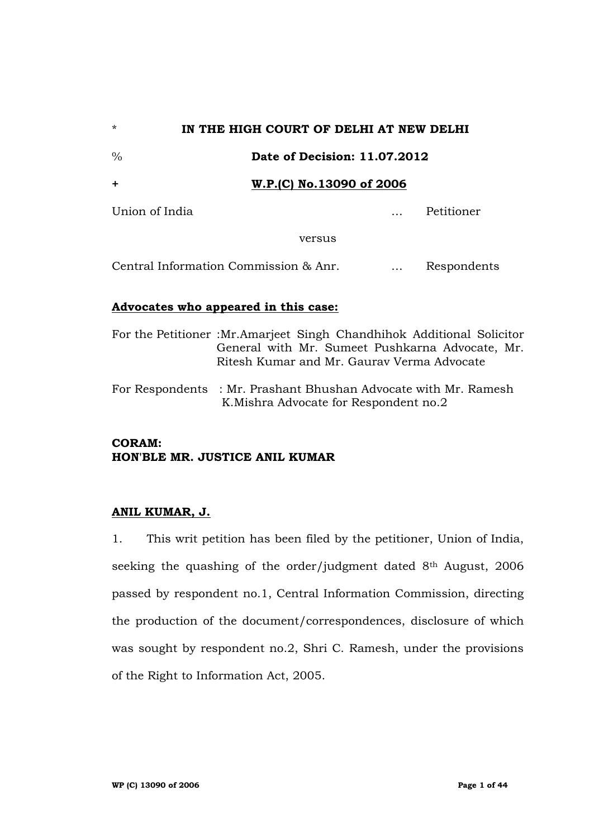# \* **IN THE HIGH COURT OF DELHI AT NEW DELHI**

## % **Date of Decision: 11.07.2012**

#### **+ W.P.(C) No.13090 of 2006**

Union of India … Petitioner

versus

Central Information Commission & Anr. … Respondents

### **Advocates who appeared in this case:**

- For the Petitioner :Mr.Amarjeet Singh Chandhihok Additional Solicitor General with Mr. Sumeet Pushkarna Advocate, Mr. Ritesh Kumar and Mr. Gaurav Verma Advocate
- For Respondents : Mr. Prashant Bhushan Advocate with Mr. Ramesh K.Mishra Advocate for Respondent no.2

## **CORAM: HON'BLE MR. JUSTICE ANIL KUMAR**

## **ANIL KUMAR, J.**

1. This writ petition has been filed by the petitioner, Union of India, seeking the quashing of the order/judgment dated 8<sup>th</sup> August, 2006 passed by respondent no.1, Central Information Commission, directing the production of the document/correspondences, disclosure of which was sought by respondent no.2, Shri C. Ramesh, under the provisions of the Right to Information Act, 2005.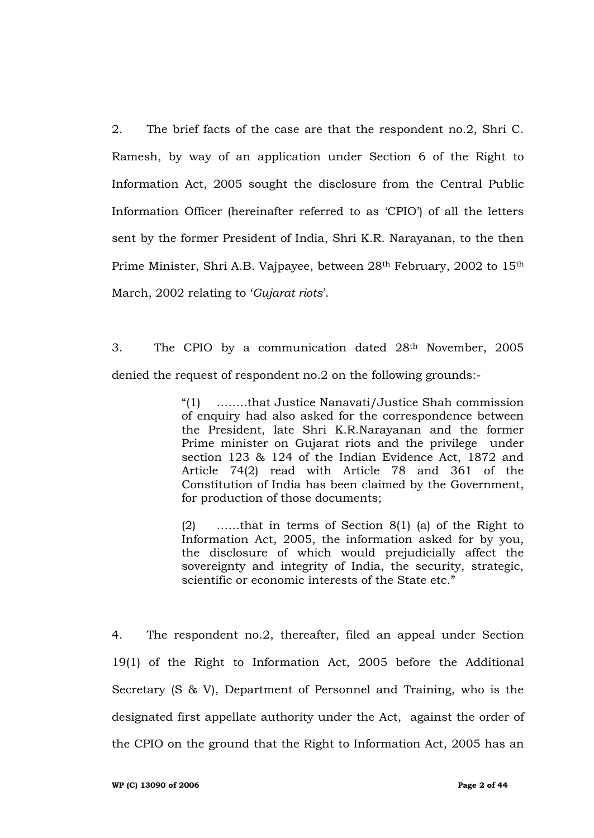2. The brief facts of the case are that the respondent no.2, Shri C. Ramesh, by way of an application under Section 6 of the Right to Information Act, 2005 sought the disclosure from the Central Public Information Officer (hereinafter referred to as "CPIO") of all the letters sent by the former President of India, Shri K.R. Narayanan, to the then Prime Minister, Shri A.B. Vajpayee, between 28th February, 2002 to 15th March, 2002 relating to "*Gujarat riots*".

3. The CPIO by a communication dated 28th November, 2005 denied the request of respondent no.2 on the following grounds:-

> "(1) ……..that Justice Nanavati/Justice Shah commission of enquiry had also asked for the correspondence between the President, late Shri K.R.Narayanan and the former Prime minister on Gujarat riots and the privilege under section 123 & 124 of the Indian Evidence Act, 1872 and Article 74(2) read with Article 78 and 361 of the Constitution of India has been claimed by the Government, for production of those documents;

> (2) ……that in terms of Section 8(1) (a) of the Right to Information Act, 2005, the information asked for by you, the disclosure of which would prejudicially affect the sovereignty and integrity of India, the security, strategic, scientific or economic interests of the State etc."

4. The respondent no.2, thereafter, filed an appeal under Section 19(1) of the Right to Information Act, 2005 before the Additional Secretary (S & V), Department of Personnel and Training, who is the designated first appellate authority under the Act, against the order of the CPIO on the ground that the Right to Information Act, 2005 has an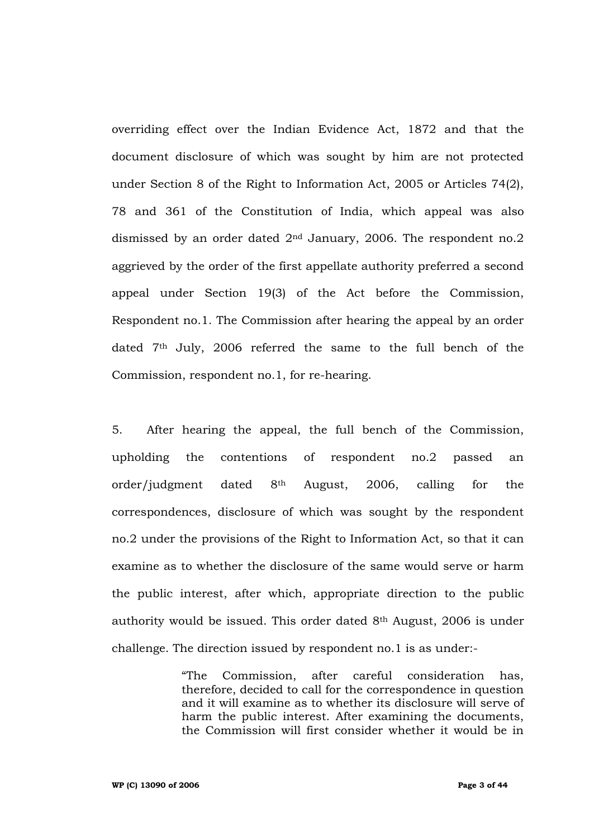overriding effect over the Indian Evidence Act, 1872 and that the document disclosure of which was sought by him are not protected under Section 8 of the Right to Information Act, 2005 or Articles 74(2), 78 and 361 of the Constitution of India, which appeal was also dismissed by an order dated 2nd January, 2006. The respondent no.2 aggrieved by the order of the first appellate authority preferred a second appeal under Section 19(3) of the Act before the Commission, Respondent no.1. The Commission after hearing the appeal by an order dated 7th July, 2006 referred the same to the full bench of the Commission, respondent no.1, for re-hearing.

5. After hearing the appeal, the full bench of the Commission, upholding the contentions of respondent no.2 passed an order/judgment dated 8th August, 2006, calling for the correspondences, disclosure of which was sought by the respondent no.2 under the provisions of the Right to Information Act, so that it can examine as to whether the disclosure of the same would serve or harm the public interest, after which, appropriate direction to the public authority would be issued. This order dated 8th August, 2006 is under challenge. The direction issued by respondent no.1 is as under:-

> "The Commission, after careful consideration has, therefore, decided to call for the correspondence in question and it will examine as to whether its disclosure will serve of harm the public interest. After examining the documents, the Commission will first consider whether it would be in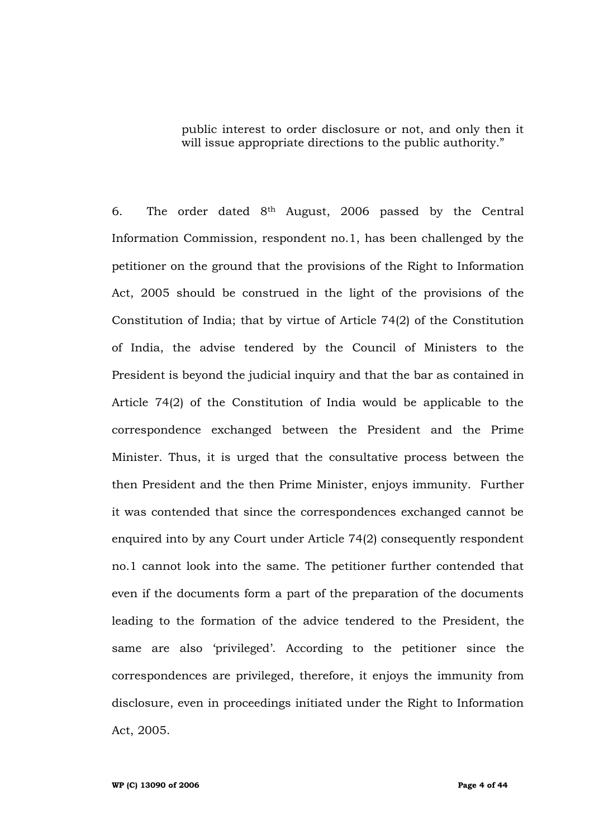public interest to order disclosure or not, and only then it will issue appropriate directions to the public authority."

6. The order dated 8th August, 2006 passed by the Central Information Commission, respondent no.1, has been challenged by the petitioner on the ground that the provisions of the Right to Information Act, 2005 should be construed in the light of the provisions of the Constitution of India; that by virtue of Article 74(2) of the Constitution of India, the advise tendered by the Council of Ministers to the President is beyond the judicial inquiry and that the bar as contained in Article 74(2) of the Constitution of India would be applicable to the correspondence exchanged between the President and the Prime Minister. Thus, it is urged that the consultative process between the then President and the then Prime Minister, enjoys immunity. Further it was contended that since the correspondences exchanged cannot be enquired into by any Court under Article 74(2) consequently respondent no.1 cannot look into the same. The petitioner further contended that even if the documents form a part of the preparation of the documents leading to the formation of the advice tendered to the President, the same are also "privileged". According to the petitioner since the correspondences are privileged, therefore, it enjoys the immunity from disclosure, even in proceedings initiated under the Right to Information Act, 2005.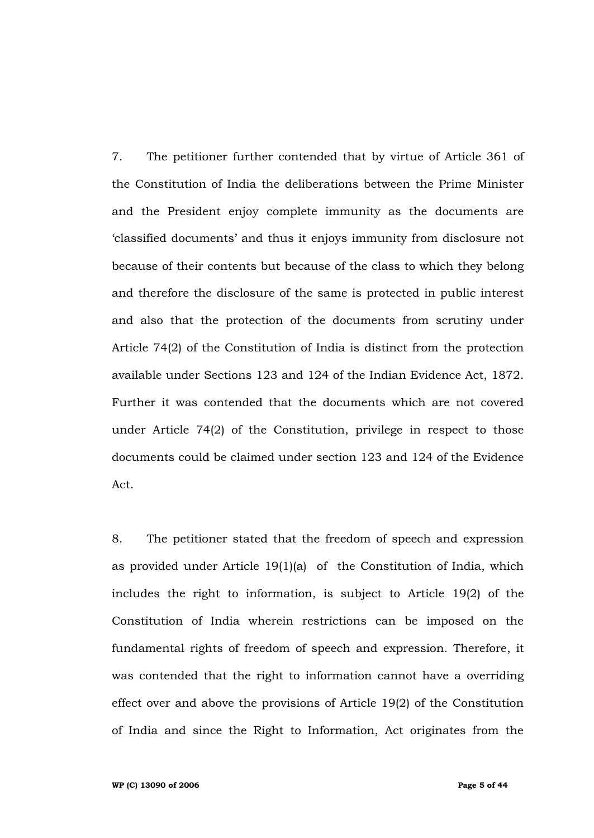7. The petitioner further contended that by virtue of Article 361 of the Constitution of India the deliberations between the Prime Minister and the President enjoy complete immunity as the documents are "classified documents" and thus it enjoys immunity from disclosure not because of their contents but because of the class to which they belong and therefore the disclosure of the same is protected in public interest and also that the protection of the documents from scrutiny under Article 74(2) of the Constitution of India is distinct from the protection available under Sections 123 and 124 of the Indian Evidence Act, 1872. Further it was contended that the documents which are not covered under Article 74(2) of the Constitution, privilege in respect to those documents could be claimed under section 123 and 124 of the Evidence Act.

8. The petitioner stated that the freedom of speech and expression as provided under Article 19(1)(a) of the Constitution of India, which includes the right to information, is subject to Article 19(2) of the Constitution of India wherein restrictions can be imposed on the fundamental rights of freedom of speech and expression. Therefore, it was contended that the right to information cannot have a overriding effect over and above the provisions of Article 19(2) of the Constitution of India and since the Right to Information, Act originates from the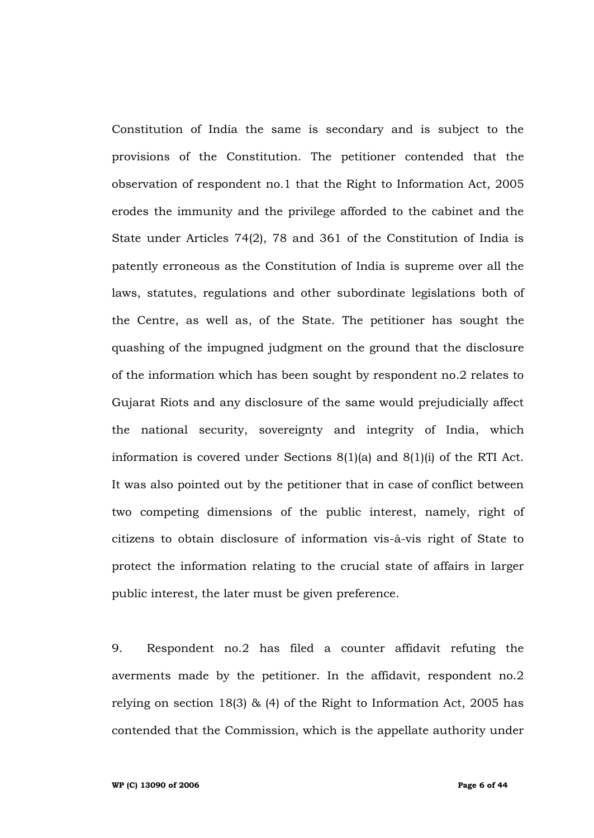Constitution of India the same is secondary and is subject to the provisions of the Constitution. The petitioner contended that the observation of respondent no.1 that the Right to Information Act, 2005 erodes the immunity and the privilege afforded to the cabinet and the State under Articles 74(2), 78 and 361 of the Constitution of India is patently erroneous as the Constitution of India is supreme over all the laws, statutes, regulations and other subordinate legislations both of the Centre, as well as, of the State. The petitioner has sought the quashing of the impugned judgment on the ground that the disclosure of the information which has been sought by respondent no.2 relates to Gujarat Riots and any disclosure of the same would prejudicially affect the national security, sovereignty and integrity of India, which information is covered under Sections 8(1)(a) and 8(1)(i) of the RTI Act. It was also pointed out by the petitioner that in case of conflict between two competing dimensions of the public interest, namely, right of citizens to obtain disclosure of information vis-à-vis right of State to protect the information relating to the crucial state of affairs in larger public interest, the later must be given preference.

9. Respondent no.2 has filed a counter affidavit refuting the averments made by the petitioner. In the affidavit, respondent no.2 relying on section 18(3) & (4) of the Right to Information Act, 2005 has contended that the Commission, which is the appellate authority under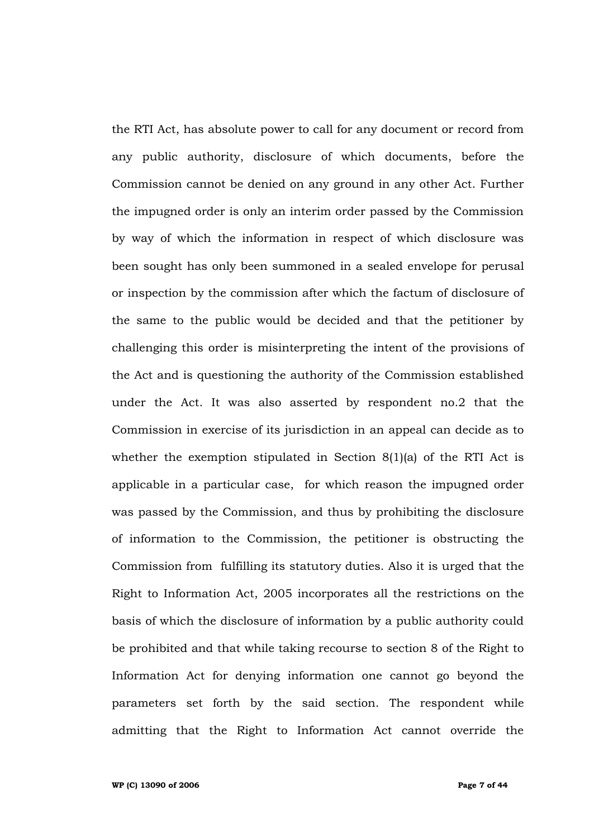the RTI Act, has absolute power to call for any document or record from any public authority, disclosure of which documents, before the Commission cannot be denied on any ground in any other Act. Further the impugned order is only an interim order passed by the Commission by way of which the information in respect of which disclosure was been sought has only been summoned in a sealed envelope for perusal or inspection by the commission after which the factum of disclosure of the same to the public would be decided and that the petitioner by challenging this order is misinterpreting the intent of the provisions of the Act and is questioning the authority of the Commission established under the Act. It was also asserted by respondent no.2 that the Commission in exercise of its jurisdiction in an appeal can decide as to whether the exemption stipulated in Section 8(1)(a) of the RTI Act is applicable in a particular case, for which reason the impugned order was passed by the Commission, and thus by prohibiting the disclosure of information to the Commission, the petitioner is obstructing the Commission from fulfilling its statutory duties. Also it is urged that the Right to Information Act, 2005 incorporates all the restrictions on the basis of which the disclosure of information by a public authority could be prohibited and that while taking recourse to section 8 of the Right to Information Act for denying information one cannot go beyond the parameters set forth by the said section. The respondent while admitting that the Right to Information Act cannot override the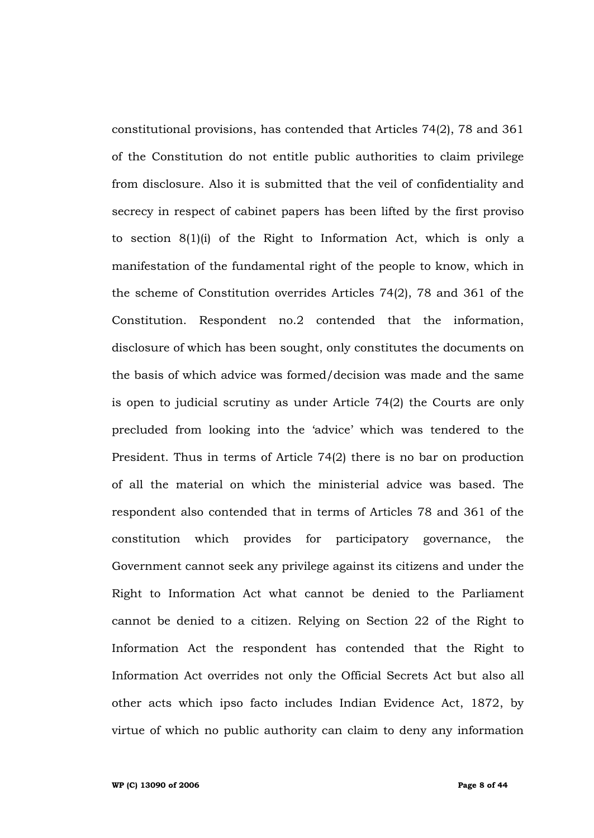constitutional provisions, has contended that Articles 74(2), 78 and 361 of the Constitution do not entitle public authorities to claim privilege from disclosure. Also it is submitted that the veil of confidentiality and secrecy in respect of cabinet papers has been lifted by the first proviso to section 8(1)(i) of the Right to Information Act, which is only a manifestation of the fundamental right of the people to know, which in the scheme of Constitution overrides Articles 74(2), 78 and 361 of the Constitution. Respondent no.2 contended that the information, disclosure of which has been sought, only constitutes the documents on the basis of which advice was formed/decision was made and the same is open to judicial scrutiny as under Article 74(2) the Courts are only precluded from looking into the "advice" which was tendered to the President. Thus in terms of Article 74(2) there is no bar on production of all the material on which the ministerial advice was based. The respondent also contended that in terms of Articles 78 and 361 of the constitution which provides for participatory governance, the Government cannot seek any privilege against its citizens and under the Right to Information Act what cannot be denied to the Parliament cannot be denied to a citizen. Relying on Section 22 of the Right to Information Act the respondent has contended that the Right to Information Act overrides not only the Official Secrets Act but also all other acts which ipso facto includes Indian Evidence Act, 1872, by virtue of which no public authority can claim to deny any information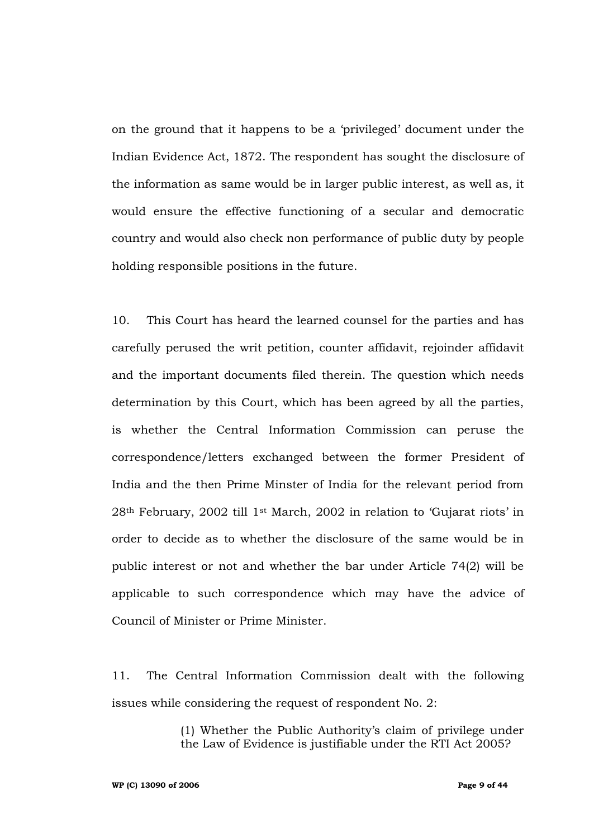on the ground that it happens to be a "privileged" document under the Indian Evidence Act, 1872. The respondent has sought the disclosure of the information as same would be in larger public interest, as well as, it would ensure the effective functioning of a secular and democratic country and would also check non performance of public duty by people holding responsible positions in the future.

10. This Court has heard the learned counsel for the parties and has carefully perused the writ petition, counter affidavit, rejoinder affidavit and the important documents filed therein. The question which needs determination by this Court, which has been agreed by all the parties, is whether the Central Information Commission can peruse the correspondence/letters exchanged between the former President of India and the then Prime Minster of India for the relevant period from 28th February, 2002 till 1st March, 2002 in relation to "Gujarat riots" in order to decide as to whether the disclosure of the same would be in public interest or not and whether the bar under Article 74(2) will be applicable to such correspondence which may have the advice of Council of Minister or Prime Minister.

11. The Central Information Commission dealt with the following issues while considering the request of respondent No. 2:

> (1) Whether the Public Authority"s claim of privilege under the Law of Evidence is justifiable under the RTI Act 2005?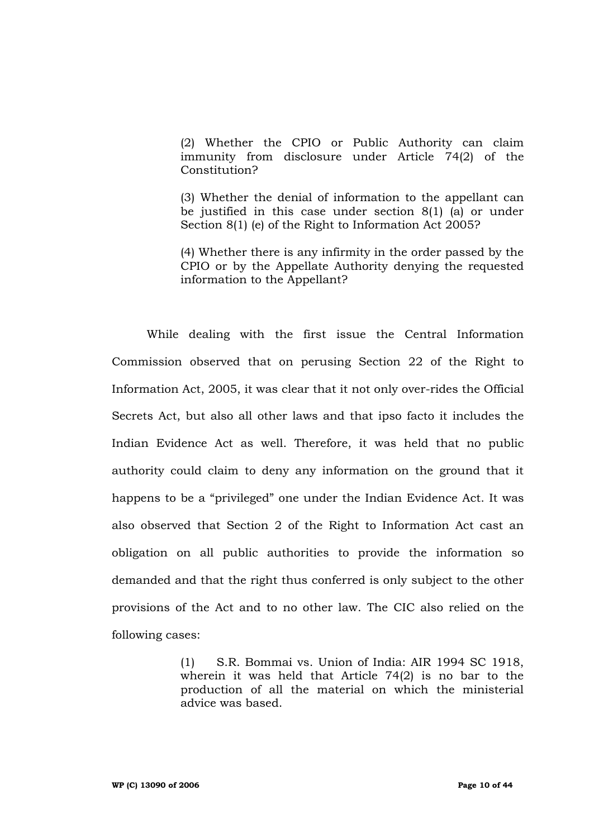(2) Whether the CPIO or Public Authority can claim immunity from disclosure under Article 74(2) of the Constitution?

(3) Whether the denial of information to the appellant can be justified in this case under section 8(1) (a) or under Section 8(1) (e) of the Right to Information Act 2005?

(4) Whether there is any infirmity in the order passed by the CPIO or by the Appellate Authority denying the requested information to the Appellant?

While dealing with the first issue the Central Information Commission observed that on perusing Section 22 of the Right to Information Act, 2005, it was clear that it not only over-rides the Official Secrets Act, but also all other laws and that ipso facto it includes the Indian Evidence Act as well. Therefore, it was held that no public authority could claim to deny any information on the ground that it happens to be a "privileged" one under the Indian Evidence Act. It was also observed that Section 2 of the Right to Information Act cast an obligation on all public authorities to provide the information so demanded and that the right thus conferred is only subject to the other provisions of the Act and to no other law. The CIC also relied on the following cases:

> (1) S.R. Bommai vs. Union of India: AIR 1994 SC 1918, wherein it was held that Article 74(2) is no bar to the production of all the material on which the ministerial advice was based.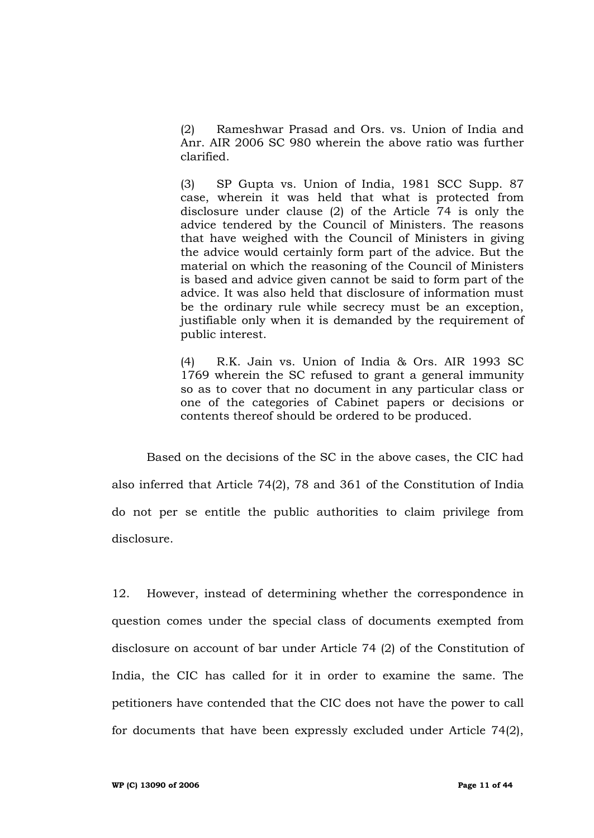(2) Rameshwar Prasad and Ors. vs. Union of India and Anr. AIR 2006 SC 980 wherein the above ratio was further clarified.

(3) SP Gupta vs. Union of India, 1981 SCC Supp. 87 case, wherein it was held that what is protected from disclosure under clause (2) of the Article 74 is only the advice tendered by the Council of Ministers. The reasons that have weighed with the Council of Ministers in giving the advice would certainly form part of the advice. But the material on which the reasoning of the Council of Ministers is based and advice given cannot be said to form part of the advice. It was also held that disclosure of information must be the ordinary rule while secrecy must be an exception, justifiable only when it is demanded by the requirement of public interest.

(4) R.K. Jain vs. Union of India & Ors. AIR 1993 SC 1769 wherein the SC refused to grant a general immunity so as to cover that no document in any particular class or one of the categories of Cabinet papers or decisions or contents thereof should be ordered to be produced.

Based on the decisions of the SC in the above cases, the CIC had also inferred that Article 74(2), 78 and 361 of the Constitution of India do not per se entitle the public authorities to claim privilege from disclosure.

12. However, instead of determining whether the correspondence in question comes under the special class of documents exempted from disclosure on account of bar under Article 74 (2) of the Constitution of India, the CIC has called for it in order to examine the same. The petitioners have contended that the CIC does not have the power to call for documents that have been expressly excluded under Article 74(2),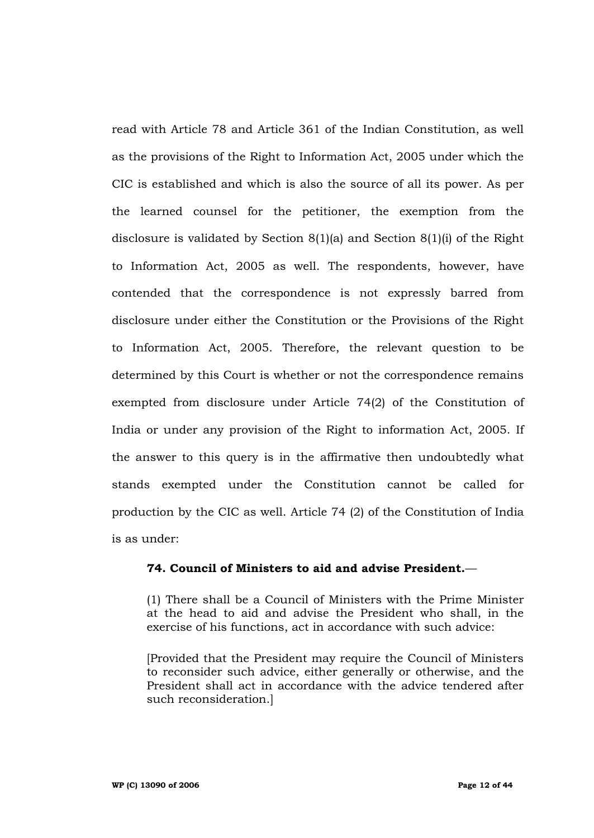read with Article 78 and Article 361 of the Indian Constitution, as well as the provisions of the Right to Information Act, 2005 under which the CIC is established and which is also the source of all its power. As per the learned counsel for the petitioner, the exemption from the disclosure is validated by Section 8(1)(a) and Section 8(1)(i) of the Right to Information Act, 2005 as well. The respondents, however, have contended that the correspondence is not expressly barred from disclosure under either the Constitution or the Provisions of the Right to Information Act, 2005. Therefore, the relevant question to be determined by this Court is whether or not the correspondence remains exempted from disclosure under Article 74(2) of the Constitution of India or under any provision of the Right to information Act, 2005. If the answer to this query is in the affirmative then undoubtedly what stands exempted under the Constitution cannot be called for production by the CIC as well. Article 74 (2) of the Constitution of India is as under:

# **74. Council of Ministers to aid and advise President.**—

(1) There shall be a Council of Ministers with the Prime Minister at the head to aid and advise the President who shall, in the exercise of his functions, act in accordance with such advice:

[Provided that the President may require the Council of Ministers to reconsider such advice, either generally or otherwise, and the President shall act in accordance with the advice tendered after such reconsideration.]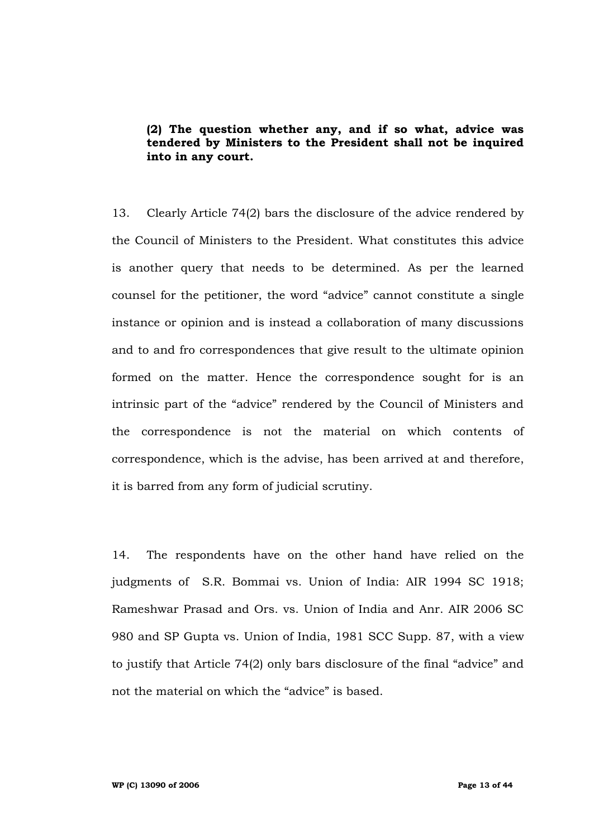**(2) The question whether any, and if so what, advice was tendered by Ministers to the President shall not be inquired into in any court.**

13. Clearly Article 74(2) bars the disclosure of the advice rendered by the Council of Ministers to the President. What constitutes this advice is another query that needs to be determined. As per the learned counsel for the petitioner, the word "advice" cannot constitute a single instance or opinion and is instead a collaboration of many discussions and to and fro correspondences that give result to the ultimate opinion formed on the matter. Hence the correspondence sought for is an intrinsic part of the "advice" rendered by the Council of Ministers and the correspondence is not the material on which contents of correspondence, which is the advise, has been arrived at and therefore, it is barred from any form of judicial scrutiny.

14. The respondents have on the other hand have relied on the judgments of S.R. Bommai vs. Union of India: AIR 1994 SC 1918; Rameshwar Prasad and Ors. vs. Union of India and Anr. AIR 2006 SC 980 and SP Gupta vs. Union of India, 1981 SCC Supp. 87, with a view to justify that Article 74(2) only bars disclosure of the final "advice" and not the material on which the "advice" is based.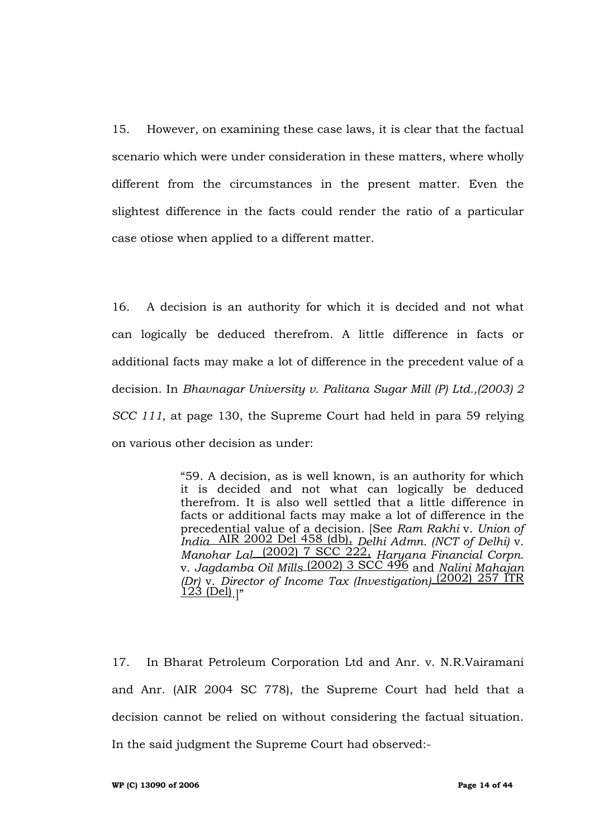15. However, on examining these case laws, it is clear that the factual scenario which were under consideration in these matters, where wholly different from the circumstances in the present matter. Even the slightest difference in the facts could render the ratio of a particular case otiose when applied to a different matter.

16. A decision is an authority for which it is decided and not what can logically be deduced therefrom. A little difference in facts or additional facts may make a lot of difference in the precedent value of a decision. In *Bhavnagar University v. Palitana Sugar Mill (P) Ltd.,(2003) 2 SCC 111*, at page 130, the Supreme Court had held in para 59 relying on various other decision as under:

> "59. A decision, as is well known, is an authority for which it is decided and not what can logically be deduced therefrom. It is also well settled that a little difference in facts or additional facts may make a lot of difference in the precedential value of a decision. [See *Ram Rakhi* v. *Union of India* AIR 2002 Del 458 (db), *Delhi Admn. (NCT of Delhi)* v. *Manohar Lal* (2002) 7 SCC 222, *Haryana Financial Corpn.* v. *Jagdamba Oil Mills* (2002) 3 SCC 496 and *Nalini Mahajan (Dr)* v. *Director of Income Tax (Investigation)* (2002) 257 ITR <u>123 (Del)</u>.<sub>]</sub>"

17. In Bharat Petroleum Corporation Ltd and Anr. v. N.R.Vairamani and Anr. (AIR 2004 SC 778), the Supreme Court had held that a decision cannot be relied on without considering the factual situation. In the said judgment the Supreme Court had observed:-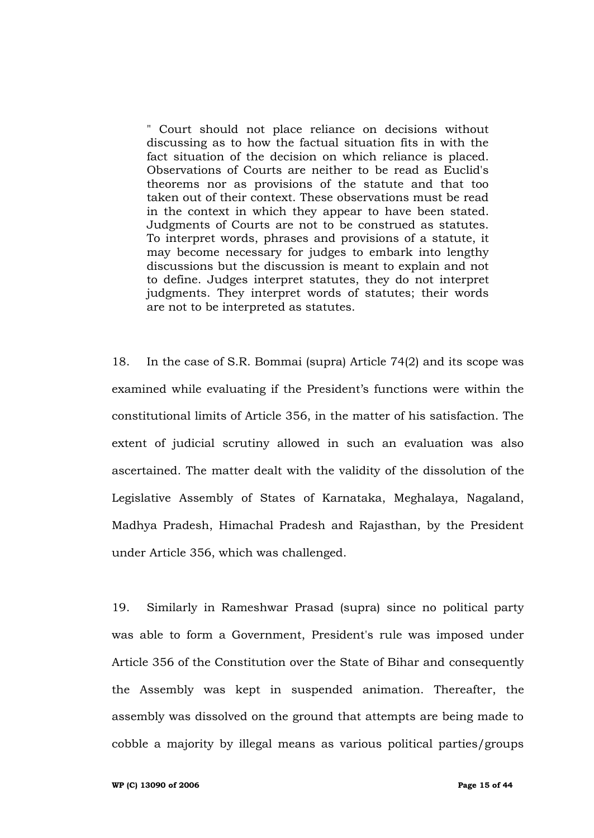" Court should not place reliance on decisions without discussing as to how the factual situation fits in with the fact situation of the decision on which reliance is placed. Observations of Courts are neither to be read as Euclid's theorems nor as provisions of the statute and that too taken out of their context. These observations must be read in the context in which they appear to have been stated. Judgments of Courts are not to be construed as statutes. To interpret words, phrases and provisions of a statute, it may become necessary for judges to embark into lengthy discussions but the discussion is meant to explain and not to define. Judges interpret statutes, they do not interpret judgments. They interpret words of statutes; their words are not to be interpreted as statutes.

18. In the case of S.R. Bommai (supra) Article 74(2) and its scope was examined while evaluating if the President"s functions were within the constitutional limits of Article 356, in the matter of his satisfaction. The extent of judicial scrutiny allowed in such an evaluation was also ascertained. The matter dealt with the validity of the dissolution of the Legislative Assembly of States of Karnataka, Meghalaya, Nagaland, Madhya Pradesh, Himachal Pradesh and Rajasthan, by the President under Article 356, which was challenged.

19. Similarly in Rameshwar Prasad (supra) since no political party was able to form a Government, President's rule was imposed under Article 356 of the Constitution over the State of Bihar and consequently the Assembly was kept in suspended animation. Thereafter, the assembly was dissolved on the ground that attempts are being made to cobble a majority by illegal means as various political parties/groups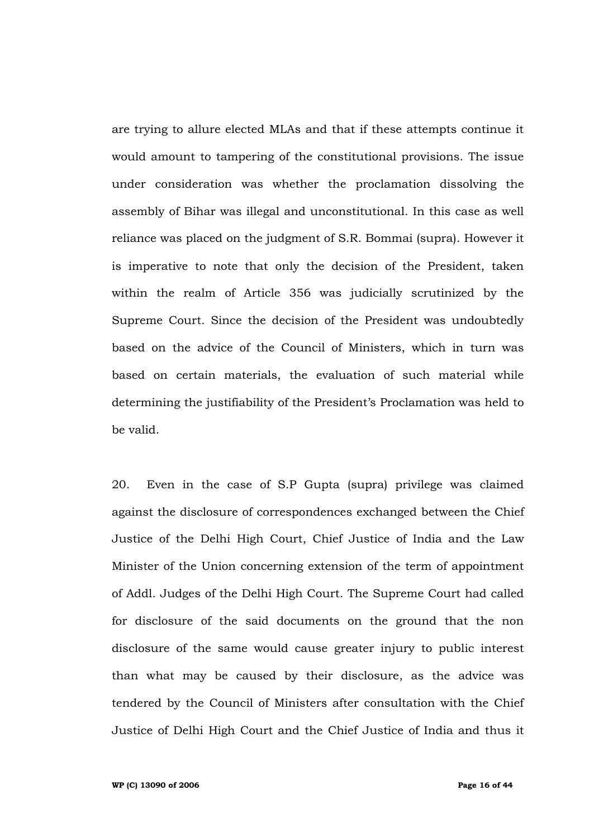are trying to allure elected MLAs and that if these attempts continue it would amount to tampering of the constitutional provisions. The issue under consideration was whether the proclamation dissolving the assembly of Bihar was illegal and unconstitutional. In this case as well reliance was placed on the judgment of S.R. Bommai (supra). However it is imperative to note that only the decision of the President, taken within the realm of Article 356 was judicially scrutinized by the Supreme Court. Since the decision of the President was undoubtedly based on the advice of the Council of Ministers, which in turn was based on certain materials, the evaluation of such material while determining the justifiability of the President's Proclamation was held to be valid.

20. Even in the case of S.P Gupta (supra) privilege was claimed against the disclosure of correspondences exchanged between the Chief Justice of the Delhi High Court, Chief Justice of India and the Law Minister of the Union concerning extension of the term of appointment of Addl. Judges of the Delhi High Court. The Supreme Court had called for disclosure of the said documents on the ground that the non disclosure of the same would cause greater injury to public interest than what may be caused by their disclosure, as the advice was tendered by the Council of Ministers after consultation with the Chief Justice of Delhi High Court and the Chief Justice of India and thus it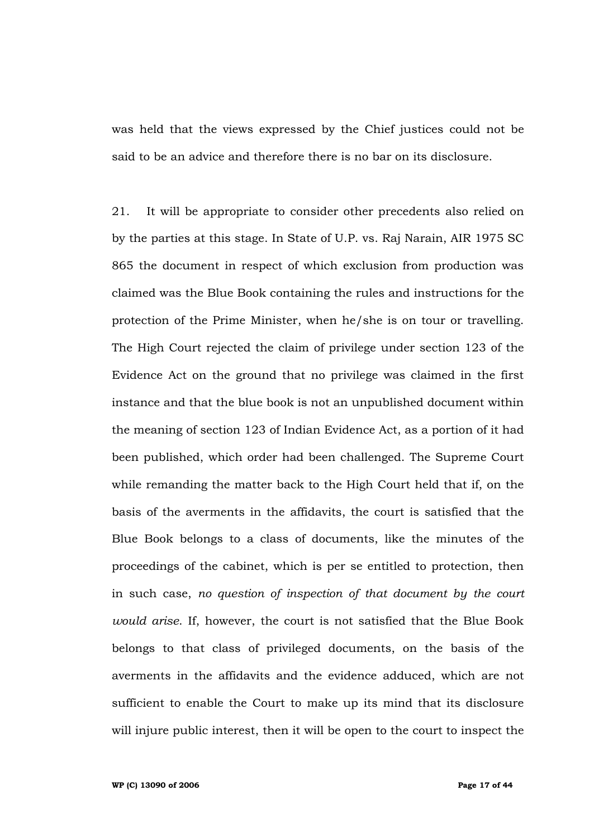was held that the views expressed by the Chief justices could not be said to be an advice and therefore there is no bar on its disclosure.

21. It will be appropriate to consider other precedents also relied on by the parties at this stage. In State of U.P. vs. Raj Narain, AIR 1975 SC 865 the document in respect of which exclusion from production was claimed was the Blue Book containing the rules and instructions for the protection of the Prime Minister, when he/she is on tour or travelling. The High Court rejected the claim of privilege under section 123 of the Evidence Act on the ground that no privilege was claimed in the first instance and that the blue book is not an unpublished document within the meaning of section 123 of Indian Evidence Act, as a portion of it had been published, which order had been challenged. The Supreme Court while remanding the matter back to the High Court held that if, on the basis of the averments in the affidavits, the court is satisfied that the Blue Book belongs to a class of documents, like the minutes of the proceedings of the cabinet, which is per se entitled to protection, then in such case, *no question of inspection of that document by the court would arise*. If, however, the court is not satisfied that the Blue Book belongs to that class of privileged documents, on the basis of the averments in the affidavits and the evidence adduced, which are not sufficient to enable the Court to make up its mind that its disclosure will injure public interest, then it will be open to the court to inspect the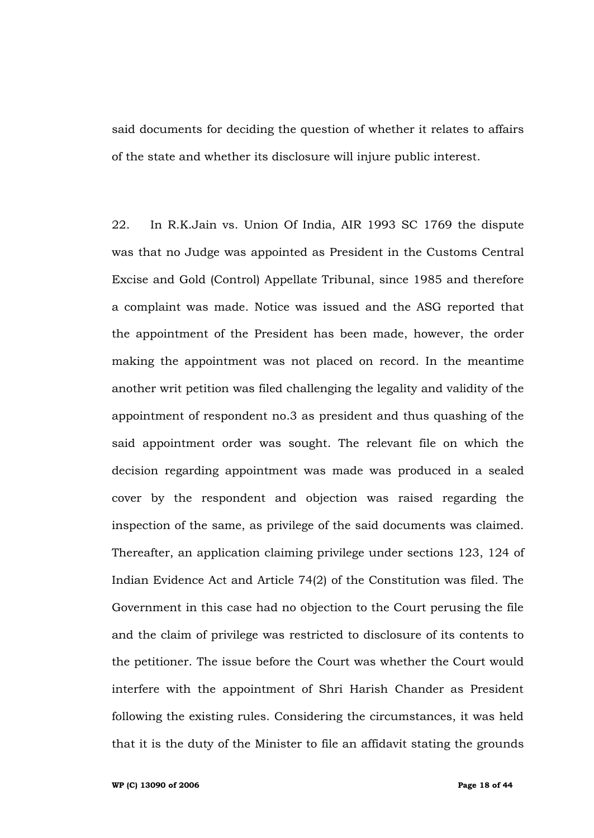said documents for deciding the question of whether it relates to affairs of the state and whether its disclosure will injure public interest.

22. In R.K.Jain vs. Union Of India, AIR 1993 SC 1769 the dispute was that no Judge was appointed as President in the Customs Central Excise and Gold (Control) Appellate Tribunal, since 1985 and therefore a complaint was made. Notice was issued and the ASG reported that the appointment of the President has been made, however, the order making the appointment was not placed on record. In the meantime another writ petition was filed challenging the legality and validity of the appointment of respondent no.3 as president and thus quashing of the said appointment order was sought. The relevant file on which the decision regarding appointment was made was produced in a sealed cover by the respondent and objection was raised regarding the inspection of the same, as privilege of the said documents was claimed. Thereafter, an application claiming privilege under sections 123, 124 of Indian Evidence Act and Article 74(2) of the Constitution was filed. The Government in this case had no objection to the Court perusing the file and the claim of privilege was restricted to disclosure of its contents to the petitioner. The issue before the Court was whether the Court would interfere with the appointment of Shri Harish Chander as President following the existing rules. Considering the circumstances, it was held that it is the duty of the Minister to file an affidavit stating the grounds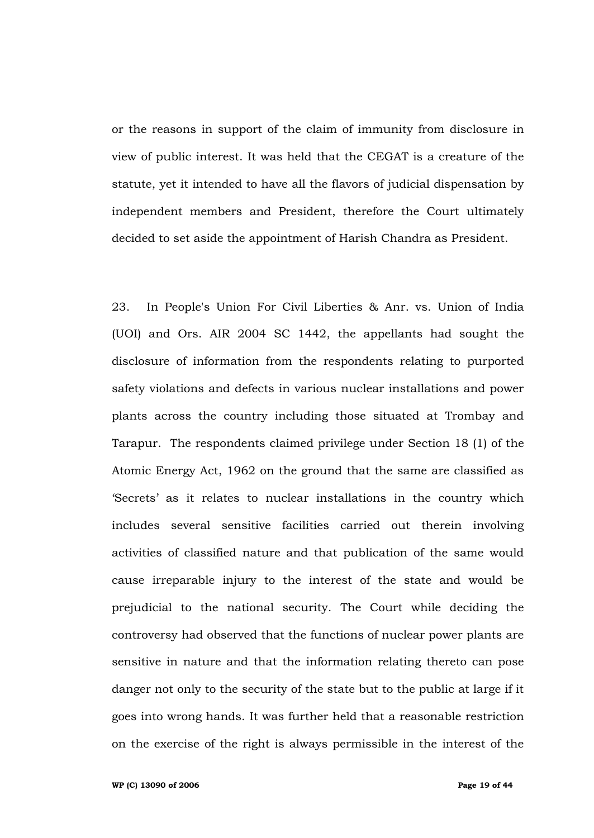or the reasons in support of the claim of immunity from disclosure in view of public interest. It was held that the CEGAT is a creature of the statute, yet it intended to have all the flavors of judicial dispensation by independent members and President, therefore the Court ultimately decided to set aside the appointment of Harish Chandra as President.

23. In People's Union For Civil Liberties & Anr. vs. Union of India (UOI) and Ors. AIR 2004 SC 1442, the appellants had sought the disclosure of information from the respondents relating to purported safety violations and defects in various nuclear installations and power plants across the country including those situated at Trombay and Tarapur. The respondents claimed privilege under Section 18 (1) of the Atomic Energy Act, 1962 on the ground that the same are classified as "Secrets' as it relates to nuclear installations in the country which includes several sensitive facilities carried out therein involving activities of classified nature and that publication of the same would cause irreparable injury to the interest of the state and would be prejudicial to the national security. The Court while deciding the controversy had observed that the functions of nuclear power plants are sensitive in nature and that the information relating thereto can pose danger not only to the security of the state but to the public at large if it goes into wrong hands. It was further held that a reasonable restriction on the exercise of the right is always permissible in the interest of the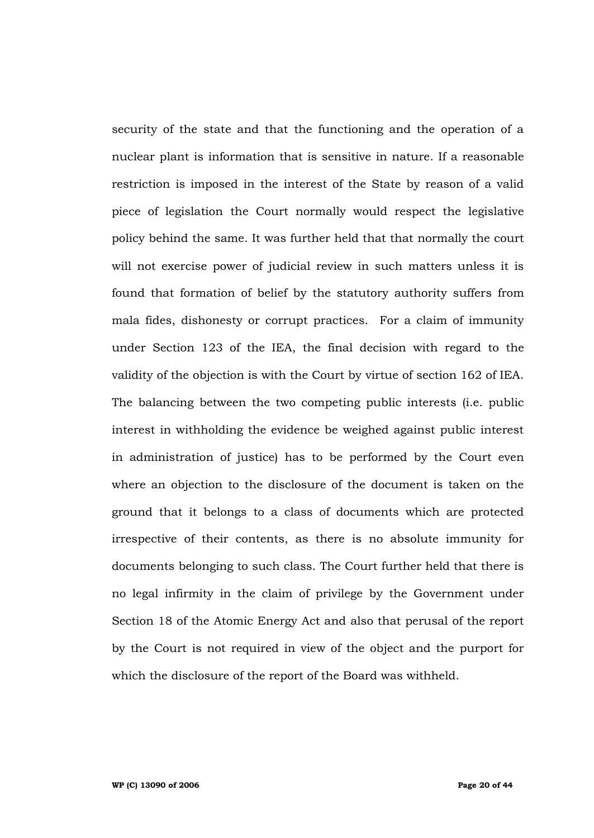security of the state and that the functioning and the operation of a nuclear plant is information that is sensitive in nature. If a reasonable restriction is imposed in the interest of the State by reason of a valid piece of legislation the Court normally would respect the legislative policy behind the same. It was further held that that normally the court will not exercise power of judicial review in such matters unless it is found that formation of belief by the statutory authority suffers from mala fides, dishonesty or corrupt practices. For a claim of immunity under Section 123 of the IEA, the final decision with regard to the validity of the objection is with the Court by virtue of section 162 of IEA. The balancing between the two competing public interests (i.e. public interest in withholding the evidence be weighed against public interest in administration of justice) has to be performed by the Court even where an objection to the disclosure of the document is taken on the ground that it belongs to a class of documents which are protected irrespective of their contents, as there is no absolute immunity for documents belonging to such class. The Court further held that there is no legal infirmity in the claim of privilege by the Government under Section 18 of the Atomic Energy Act and also that perusal of the report by the Court is not required in view of the object and the purport for which the disclosure of the report of the Board was withheld.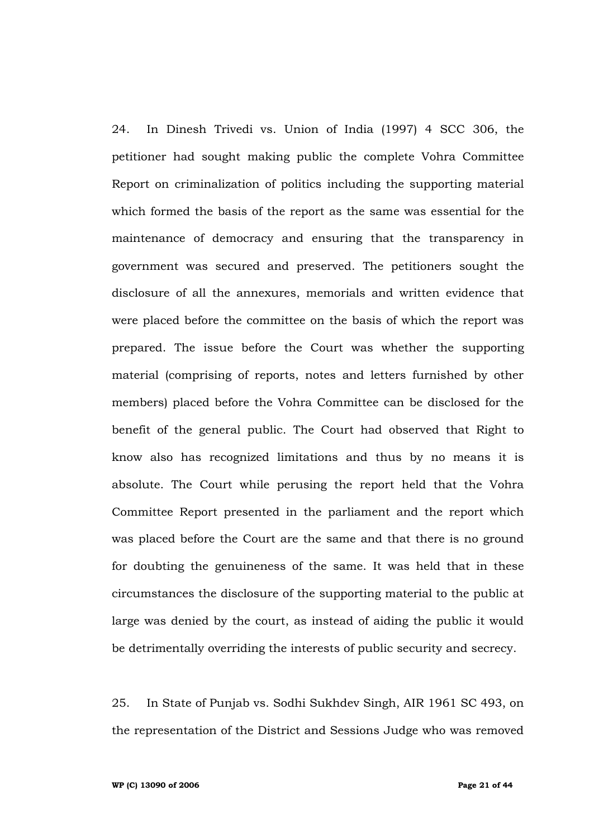24. In Dinesh Trivedi vs. Union of India (1997) 4 SCC 306, the petitioner had sought making public the complete Vohra Committee Report on criminalization of politics including the supporting material which formed the basis of the report as the same was essential for the maintenance of democracy and ensuring that the transparency in government was secured and preserved. The petitioners sought the disclosure of all the annexures, memorials and written evidence that were placed before the committee on the basis of which the report was prepared. The issue before the Court was whether the supporting material (comprising of reports, notes and letters furnished by other members) placed before the Vohra Committee can be disclosed for the benefit of the general public. The Court had observed that Right to know also has recognized limitations and thus by no means it is absolute. The Court while perusing the report held that the Vohra Committee Report presented in the parliament and the report which was placed before the Court are the same and that there is no ground for doubting the genuineness of the same. It was held that in these circumstances the disclosure of the supporting material to the public at large was denied by the court, as instead of aiding the public it would be detrimentally overriding the interests of public security and secrecy.

25. In State of Punjab vs. Sodhi Sukhdev Singh, AIR 1961 SC 493, on the representation of the District and Sessions Judge who was removed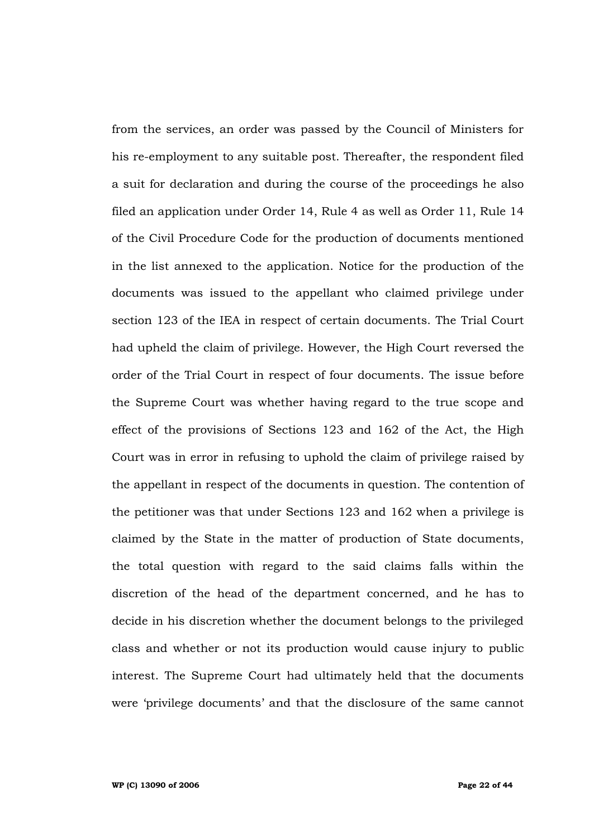from the services, an order was passed by the Council of Ministers for his re-employment to any suitable post. Thereafter, the respondent filed a suit for declaration and during the course of the proceedings he also filed an application under Order 14, Rule 4 as well as Order 11, Rule 14 of the Civil Procedure Code for the production of documents mentioned in the list annexed to the application. Notice for the production of the documents was issued to the appellant who claimed privilege under section 123 of the IEA in respect of certain documents. The Trial Court had upheld the claim of privilege. However, the High Court reversed the order of the Trial Court in respect of four documents. The issue before the Supreme Court was whether having regard to the true scope and effect of the provisions of Sections 123 and 162 of the Act, the High Court was in error in refusing to uphold the claim of privilege raised by the appellant in respect of the documents in question. The contention of the petitioner was that under Sections 123 and 162 when a privilege is claimed by the State in the matter of production of State documents, the total question with regard to the said claims falls within the discretion of the head of the department concerned, and he has to decide in his discretion whether the document belongs to the privileged class and whether or not its production would cause injury to public interest. The Supreme Court had ultimately held that the documents were "privilege documents" and that the disclosure of the same cannot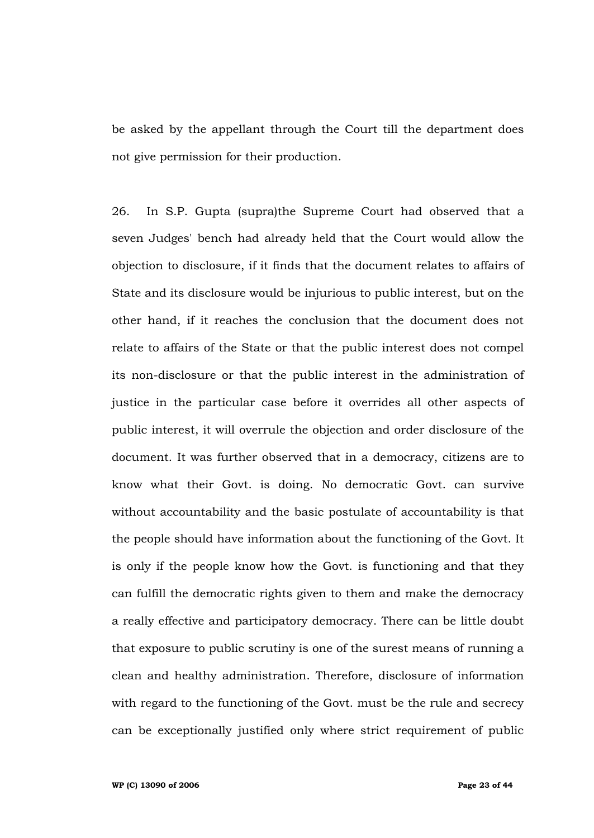be asked by the appellant through the Court till the department does not give permission for their production.

26. In S.P. Gupta (supra)the Supreme Court had observed that a seven Judges' bench had already held that the Court would allow the objection to disclosure, if it finds that the document relates to affairs of State and its disclosure would be injurious to public interest, but on the other hand, if it reaches the conclusion that the document does not relate to affairs of the State or that the public interest does not compel its non-disclosure or that the public interest in the administration of justice in the particular case before it overrides all other aspects of public interest, it will overrule the objection and order disclosure of the document. It was further observed that in a democracy, citizens are to know what their Govt. is doing. No democratic Govt. can survive without accountability and the basic postulate of accountability is that the people should have information about the functioning of the Govt. It is only if the people know how the Govt. is functioning and that they can fulfill the democratic rights given to them and make the democracy a really effective and participatory democracy. There can be little doubt that exposure to public scrutiny is one of the surest means of running a clean and healthy administration. Therefore, disclosure of information with regard to the functioning of the Govt. must be the rule and secrecy can be exceptionally justified only where strict requirement of public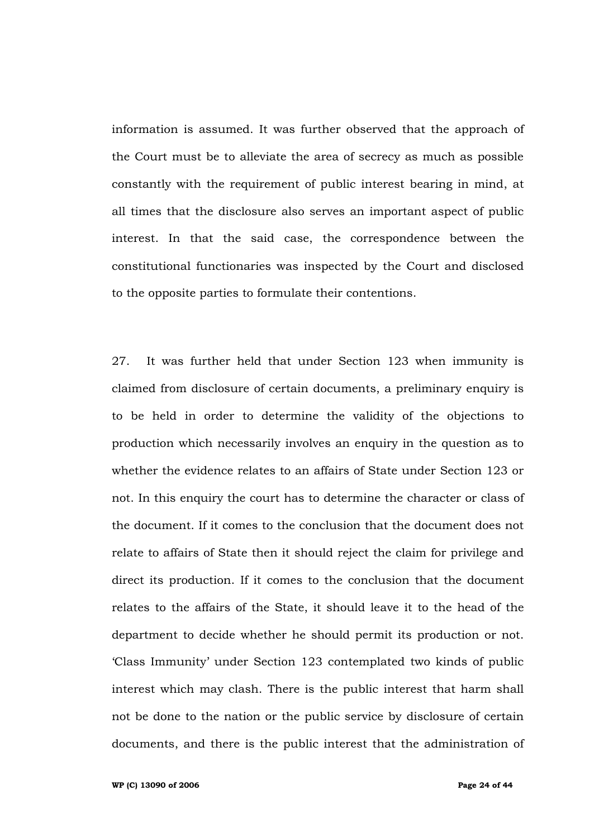information is assumed. It was further observed that the approach of the Court must be to alleviate the area of secrecy as much as possible constantly with the requirement of public interest bearing in mind, at all times that the disclosure also serves an important aspect of public interest. In that the said case, the correspondence between the constitutional functionaries was inspected by the Court and disclosed to the opposite parties to formulate their contentions.

27. It was further held that under Section 123 when immunity is claimed from disclosure of certain documents, a preliminary enquiry is to be held in order to determine the validity of the objections to production which necessarily involves an enquiry in the question as to whether the evidence relates to an affairs of State under Section 123 or not. In this enquiry the court has to determine the character or class of the document. If it comes to the conclusion that the document does not relate to affairs of State then it should reject the claim for privilege and direct its production. If it comes to the conclusion that the document relates to the affairs of the State, it should leave it to the head of the department to decide whether he should permit its production or not. "Class Immunity" under Section 123 contemplated two kinds of public interest which may clash. There is the public interest that harm shall not be done to the nation or the public service by disclosure of certain documents, and there is the public interest that the administration of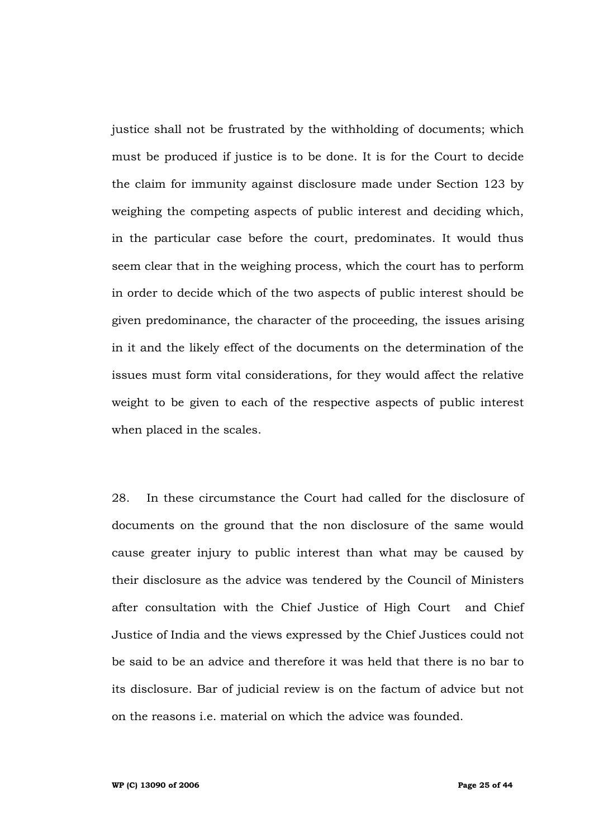justice shall not be frustrated by the withholding of documents; which must be produced if justice is to be done. It is for the Court to decide the claim for immunity against disclosure made under Section 123 by weighing the competing aspects of public interest and deciding which, in the particular case before the court, predominates. It would thus seem clear that in the weighing process, which the court has to perform in order to decide which of the two aspects of public interest should be given predominance, the character of the proceeding, the issues arising in it and the likely effect of the documents on the determination of the issues must form vital considerations, for they would affect the relative weight to be given to each of the respective aspects of public interest when placed in the scales.

28. In these circumstance the Court had called for the disclosure of documents on the ground that the non disclosure of the same would cause greater injury to public interest than what may be caused by their disclosure as the advice was tendered by the Council of Ministers after consultation with the Chief Justice of High Court and Chief Justice of India and the views expressed by the Chief Justices could not be said to be an advice and therefore it was held that there is no bar to its disclosure. Bar of judicial review is on the factum of advice but not on the reasons i.e. material on which the advice was founded.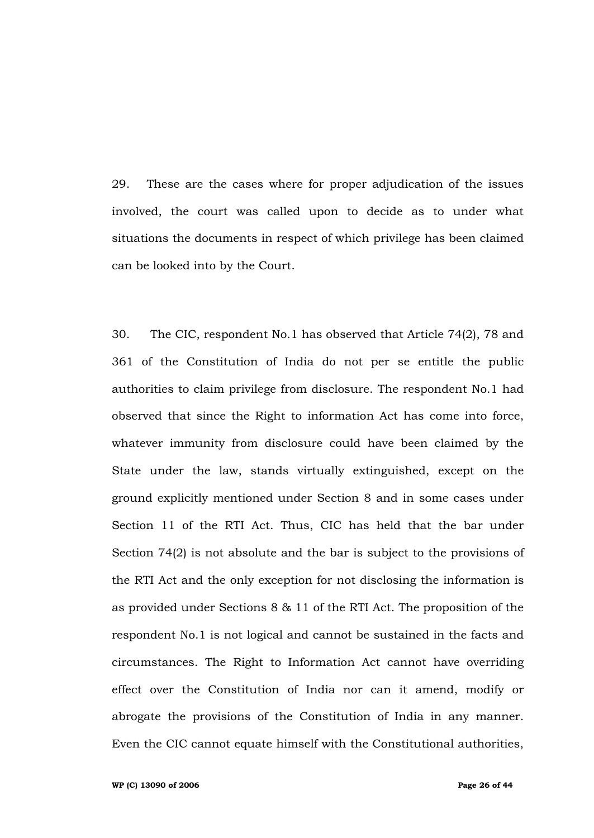29. These are the cases where for proper adjudication of the issues involved, the court was called upon to decide as to under what situations the documents in respect of which privilege has been claimed can be looked into by the Court.

30. The CIC, respondent No.1 has observed that Article 74(2), 78 and 361 of the Constitution of India do not per se entitle the public authorities to claim privilege from disclosure. The respondent No.1 had observed that since the Right to information Act has come into force, whatever immunity from disclosure could have been claimed by the State under the law, stands virtually extinguished, except on the ground explicitly mentioned under Section 8 and in some cases under Section 11 of the RTI Act. Thus, CIC has held that the bar under Section 74(2) is not absolute and the bar is subject to the provisions of the RTI Act and the only exception for not disclosing the information is as provided under Sections 8 & 11 of the RTI Act. The proposition of the respondent No.1 is not logical and cannot be sustained in the facts and circumstances. The Right to Information Act cannot have overriding effect over the Constitution of India nor can it amend, modify or abrogate the provisions of the Constitution of India in any manner. Even the CIC cannot equate himself with the Constitutional authorities,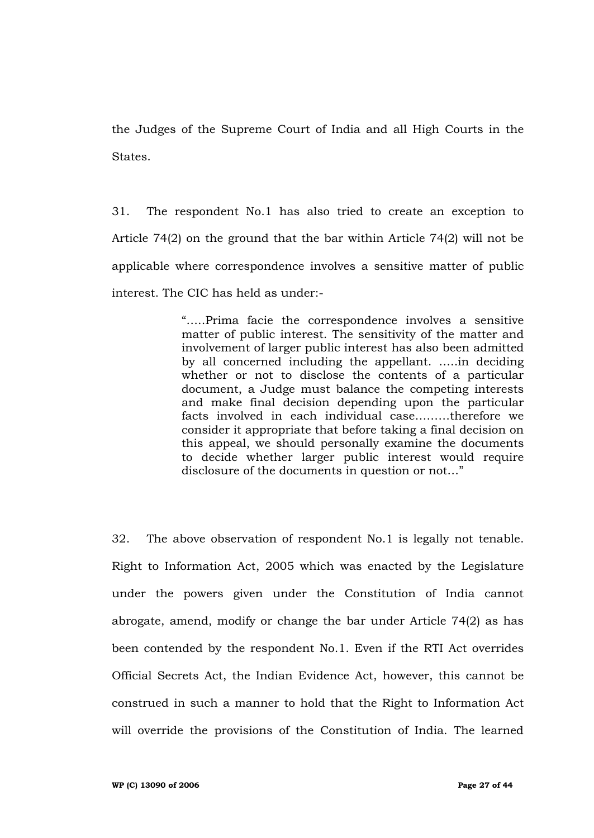the Judges of the Supreme Court of India and all High Courts in the States.

31. The respondent No.1 has also tried to create an exception to Article 74(2) on the ground that the bar within Article 74(2) will not be applicable where correspondence involves a sensitive matter of public interest. The CIC has held as under:-

> "…..Prima facie the correspondence involves a sensitive matter of public interest. The sensitivity of the matter and involvement of larger public interest has also been admitted by all concerned including the appellant. …..in deciding whether or not to disclose the contents of a particular document, a Judge must balance the competing interests and make final decision depending upon the particular facts involved in each individual case………therefore we consider it appropriate that before taking a final decision on this appeal, we should personally examine the documents to decide whether larger public interest would require disclosure of the documents in question or not…"

32. The above observation of respondent No.1 is legally not tenable. Right to Information Act, 2005 which was enacted by the Legislature under the powers given under the Constitution of India cannot abrogate, amend, modify or change the bar under Article 74(2) as has been contended by the respondent No.1. Even if the RTI Act overrides Official Secrets Act, the Indian Evidence Act, however, this cannot be construed in such a manner to hold that the Right to Information Act will override the provisions of the Constitution of India. The learned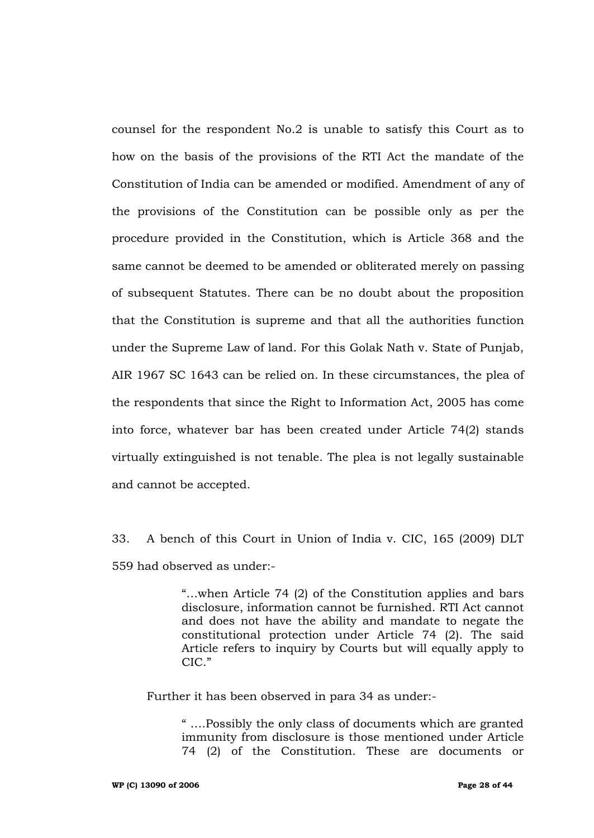counsel for the respondent No.2 is unable to satisfy this Court as to how on the basis of the provisions of the RTI Act the mandate of the Constitution of India can be amended or modified. Amendment of any of the provisions of the Constitution can be possible only as per the procedure provided in the Constitution, which is Article 368 and the same cannot be deemed to be amended or obliterated merely on passing of subsequent Statutes. There can be no doubt about the proposition that the Constitution is supreme and that all the authorities function under the Supreme Law of land. For this Golak Nath v. State of Punjab, AIR 1967 SC 1643 can be relied on. In these circumstances, the plea of the respondents that since the Right to Information Act, 2005 has come into force, whatever bar has been created under Article 74(2) stands virtually extinguished is not tenable. The plea is not legally sustainable and cannot be accepted.

33. A bench of this Court in Union of India v. CIC, 165 (2009) DLT 559 had observed as under:-

> "…when Article 74 (2) of the Constitution applies and bars disclosure, information cannot be furnished. RTI Act cannot and does not have the ability and mandate to negate the constitutional protection under Article 74 (2). The said Article refers to inquiry by Courts but will equally apply to CIC."

Further it has been observed in para 34 as under:-

" ….Possibly the only class of documents which are granted immunity from disclosure is those mentioned under Article 74 (2) of the Constitution. These are documents or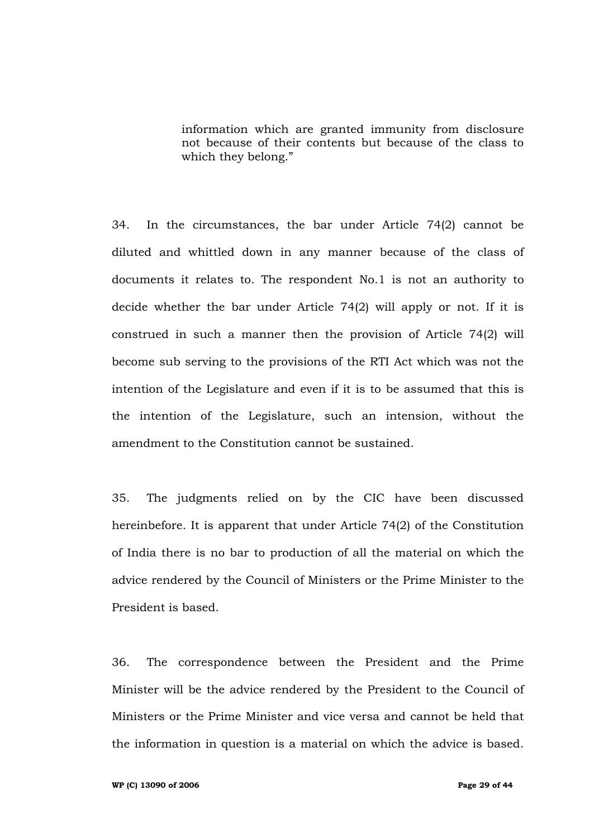information which are granted immunity from disclosure not because of their contents but because of the class to which they belong."

34. In the circumstances, the bar under Article 74(2) cannot be diluted and whittled down in any manner because of the class of documents it relates to. The respondent No.1 is not an authority to decide whether the bar under Article 74(2) will apply or not. If it is construed in such a manner then the provision of Article 74(2) will become sub serving to the provisions of the RTI Act which was not the intention of the Legislature and even if it is to be assumed that this is the intention of the Legislature, such an intension, without the amendment to the Constitution cannot be sustained.

35. The judgments relied on by the CIC have been discussed hereinbefore. It is apparent that under Article 74(2) of the Constitution of India there is no bar to production of all the material on which the advice rendered by the Council of Ministers or the Prime Minister to the President is based.

36. The correspondence between the President and the Prime Minister will be the advice rendered by the President to the Council of Ministers or the Prime Minister and vice versa and cannot be held that the information in question is a material on which the advice is based.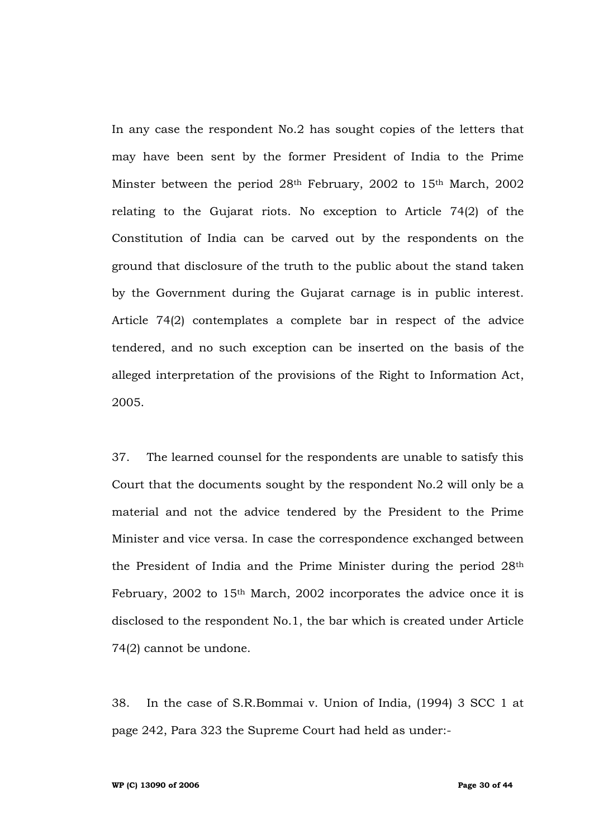In any case the respondent No.2 has sought copies of the letters that may have been sent by the former President of India to the Prime Minster between the period 28th February, 2002 to 15th March, 2002 relating to the Gujarat riots. No exception to Article 74(2) of the Constitution of India can be carved out by the respondents on the ground that disclosure of the truth to the public about the stand taken by the Government during the Gujarat carnage is in public interest. Article 74(2) contemplates a complete bar in respect of the advice tendered, and no such exception can be inserted on the basis of the alleged interpretation of the provisions of the Right to Information Act, 2005.

37. The learned counsel for the respondents are unable to satisfy this Court that the documents sought by the respondent No.2 will only be a material and not the advice tendered by the President to the Prime Minister and vice versa. In case the correspondence exchanged between the President of India and the Prime Minister during the period 28th February, 2002 to 15<sup>th</sup> March, 2002 incorporates the advice once it is disclosed to the respondent No.1, the bar which is created under Article 74(2) cannot be undone.

38. In the case of S.R.Bommai v. Union of India, (1994) 3 SCC 1 at page 242, Para 323 the Supreme Court had held as under:-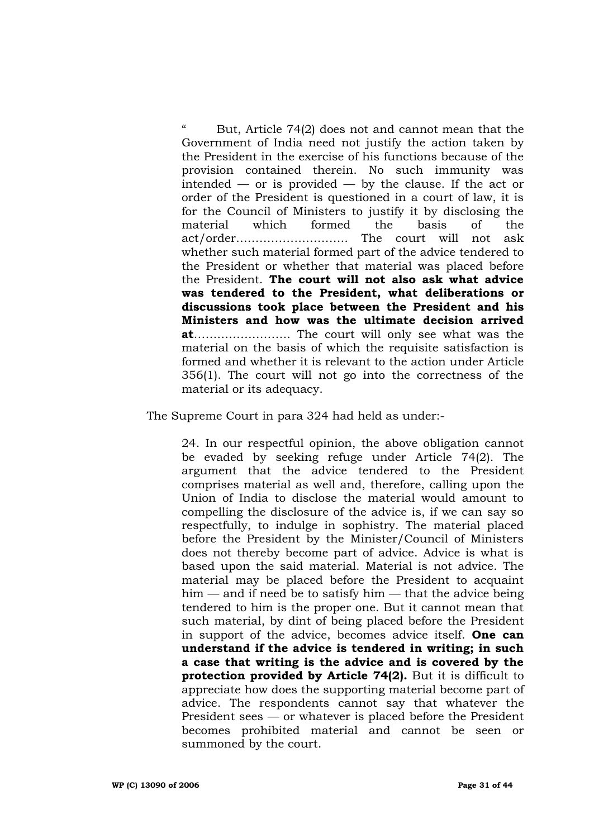But, Article 74(2) does not and cannot mean that the Government of India need not justify the action taken by the President in the exercise of his functions because of the provision contained therein. No such immunity was intended  $-$  or is provided  $-$  by the clause. If the act or order of the President is questioned in a court of law, it is for the Council of Ministers to justify it by disclosing the material which formed the basis of the act/order……………………….. The court will not ask whether such material formed part of the advice tendered to the President or whether that material was placed before the President. **The court will not also ask what advice was tendered to the President, what deliberations or discussions took place between the President and his Ministers and how was the ultimate decision arrived at**……………………. The court will only see what was the material on the basis of which the requisite satisfaction is formed and whether it is relevant to the action under Article 356(1). The court will not go into the correctness of the material or its adequacy.

The Supreme Court in para 324 had held as under:-

24. In our respectful opinion, the above obligation cannot be evaded by seeking refuge under Article 74(2). The argument that the advice tendered to the President comprises material as well and, therefore, calling upon the Union of India to disclose the material would amount to compelling the disclosure of the advice is, if we can say so respectfully, to indulge in sophistry. The material placed before the President by the Minister/Council of Ministers does not thereby become part of advice. Advice is what is based upon the said material. Material is not advice. The material may be placed before the President to acquaint  $him - and if need be to satisfy him - that the advice being$ tendered to him is the proper one. But it cannot mean that such material, by dint of being placed before the President in support of the advice, becomes advice itself. **One can understand if the advice is tendered in writing; in such a case that writing is the advice and is covered by the protection provided by Article 74(2).** But it is difficult to appreciate how does the supporting material become part of advice. The respondents cannot say that whatever the President sees — or whatever is placed before the President becomes prohibited material and cannot be seen or summoned by the court.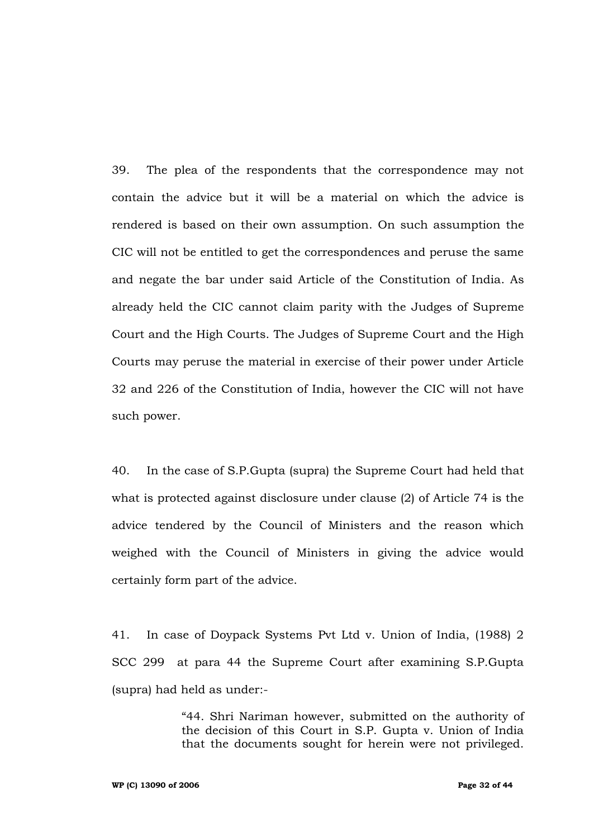39. The plea of the respondents that the correspondence may not contain the advice but it will be a material on which the advice is rendered is based on their own assumption. On such assumption the CIC will not be entitled to get the correspondences and peruse the same and negate the bar under said Article of the Constitution of India. As already held the CIC cannot claim parity with the Judges of Supreme Court and the High Courts. The Judges of Supreme Court and the High Courts may peruse the material in exercise of their power under Article 32 and 226 of the Constitution of India, however the CIC will not have such power.

40. In the case of S.P.Gupta (supra) the Supreme Court had held that what is protected against disclosure under clause (2) of Article 74 is the advice tendered by the Council of Ministers and the reason which weighed with the Council of Ministers in giving the advice would certainly form part of the advice.

41. In case of Doypack Systems Pvt Ltd v. Union of India, (1988) 2 SCC 299 at para 44 the Supreme Court after examining S.P.Gupta (supra) had held as under:-

> "44. Shri Nariman however, submitted on the authority of the decision of this Court in S.P. Gupta v. Union of India that the documents sought for herein were not privileged.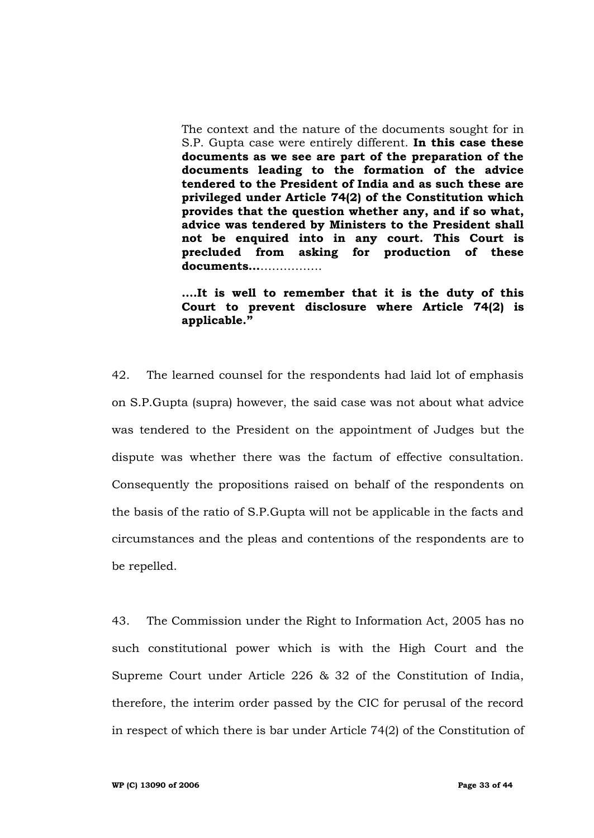The context and the nature of the documents sought for in S.P. Gupta case were entirely different. **In this case these documents as we see are part of the preparation of the documents leading to the formation of the advice tendered to the President of India and as such these are privileged under Article 74(2) of the Constitution which provides that the question whether any, and if so what, advice was tendered by Ministers to the President shall not be enquired into in any court. This Court is precluded from asking for production of these documents…**…………….

**….It is well to remember that it is the duty of this Court to prevent disclosure where Article 74(2) is applicable."** 

42. The learned counsel for the respondents had laid lot of emphasis on S.P.Gupta (supra) however, the said case was not about what advice was tendered to the President on the appointment of Judges but the dispute was whether there was the factum of effective consultation. Consequently the propositions raised on behalf of the respondents on the basis of the ratio of S.P.Gupta will not be applicable in the facts and circumstances and the pleas and contentions of the respondents are to be repelled.

43. The Commission under the Right to Information Act, 2005 has no such constitutional power which is with the High Court and the Supreme Court under Article 226 & 32 of the Constitution of India, therefore, the interim order passed by the CIC for perusal of the record in respect of which there is bar under Article 74(2) of the Constitution of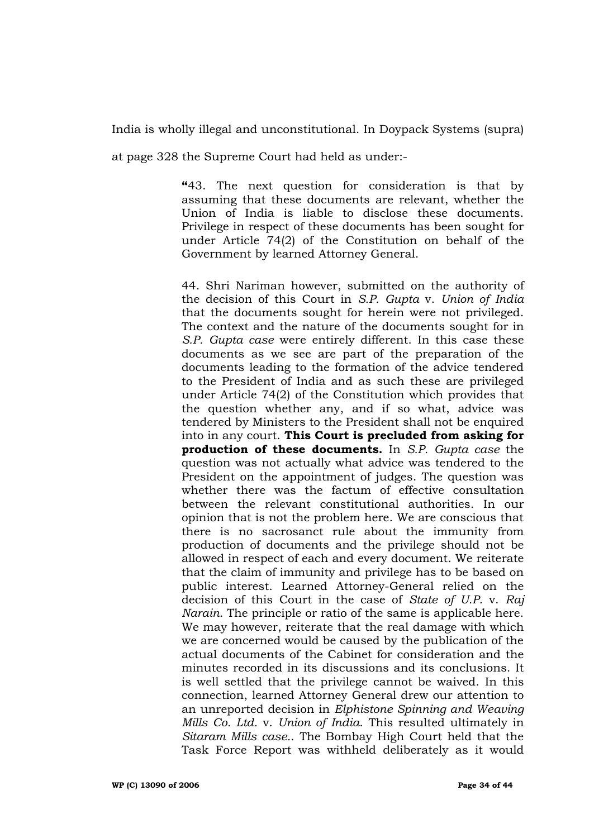India is wholly illegal and unconstitutional. In Doypack Systems (supra)

at page 328 the Supreme Court had held as under:-

**"**43. The next question for consideration is that by assuming that these documents are relevant, whether the Union of India is liable to disclose these documents. Privilege in respect of these documents has been sought for under Article 74(2) of the Constitution on behalf of the Government by learned Attorney General.

44. Shri Nariman however, submitted on the authority of the decision of this Court in *S.P. Gupta* v. *Union of India* that the documents sought for herein were not privileged. The context and the nature of the documents sought for in *S.P. Gupta case* were entirely different. In this case these documents as we see are part of the preparation of the documents leading to the formation of the advice tendered to the President of India and as such these are privileged under Article 74(2) of the Constitution which provides that the question whether any, and if so what, advice was tendered by Ministers to the President shall not be enquired into in any court. **This Court is precluded from asking for production of these documents.** In *S.P. Gupta case* the question was not actually what advice was tendered to the President on the appointment of judges. The question was whether there was the factum of effective consultation between the relevant constitutional authorities. In our opinion that is not the problem here. We are conscious that there is no sacrosanct rule about the immunity from production of documents and the privilege should not be allowed in respect of each and every document. We reiterate that the claim of immunity and privilege has to be based on public interest. Learned Attorney-General relied on the decision of this Court in the case of *State of U.P.* v. *Raj Narain*. The principle or ratio of the same is applicable here. We may however, reiterate that the real damage with which we are concerned would be caused by the publication of the actual documents of the Cabinet for consideration and the minutes recorded in its discussions and its conclusions. It is well settled that the privilege cannot be waived. In this connection, learned Attorney General drew our attention to an unreported decision in *Elphistone Spinning and Weaving Mills Co. Ltd.* v. *Union of India*. This resulted ultimately in *Sitaram Mills case.*. The Bombay High Court held that the Task Force Report was withheld deliberately as it would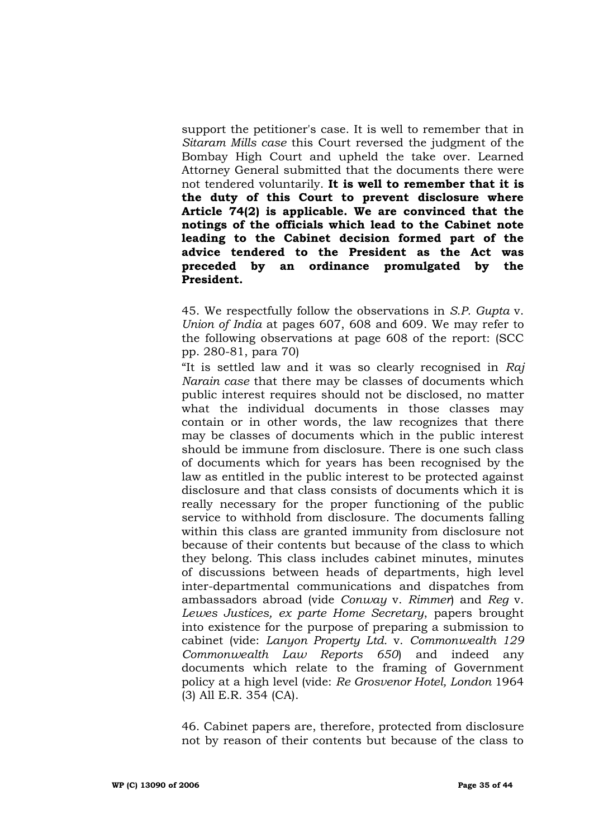support the petitioner's case. It is well to remember that in *Sitaram Mills case* this Court reversed the judgment of the Bombay High Court and upheld the take over. Learned Attorney General submitted that the documents there were not tendered voluntarily. **It is well to remember that it is the duty of this Court to prevent disclosure where Article 74(2) is applicable. We are convinced that the notings of the officials which lead to the Cabinet note leading to the Cabinet decision formed part of the advice tendered to the President as the Act was preceded by an ordinance promulgated by the President.**

45. We respectfully follow the observations in *S.P. Gupta* v. *Union of India* at pages 607, 608 and 609. We may refer to the following observations at page 608 of the report: (SCC pp. 280-81, para 70)

"It is settled law and it was so clearly recognised in *Raj Narain case* that there may be classes of documents which public interest requires should not be disclosed, no matter what the individual documents in those classes may contain or in other words, the law recognizes that there may be classes of documents which in the public interest should be immune from disclosure. There is one such class of documents which for years has been recognised by the law as entitled in the public interest to be protected against disclosure and that class consists of documents which it is really necessary for the proper functioning of the public service to withhold from disclosure. The documents falling within this class are granted immunity from disclosure not because of their contents but because of the class to which they belong. This class includes cabinet minutes, minutes of discussions between heads of departments, high level inter-departmental communications and dispatches from ambassadors abroad (vide *Conway* v. *Rimmer*) and *Reg* v. *Lewes Justices, ex parte Home Secretary*, papers brought into existence for the purpose of preparing a submission to cabinet (vide: *Lanyon Property Ltd.* v. *Commonwealth 129 Commonwealth Law Reports 650*) and indeed any documents which relate to the framing of Government policy at a high level (vide: *Re Grosvenor Hotel, London* 1964 (3) All E.R. 354 (CA).

46. Cabinet papers are, therefore, protected from disclosure not by reason of their contents but because of the class to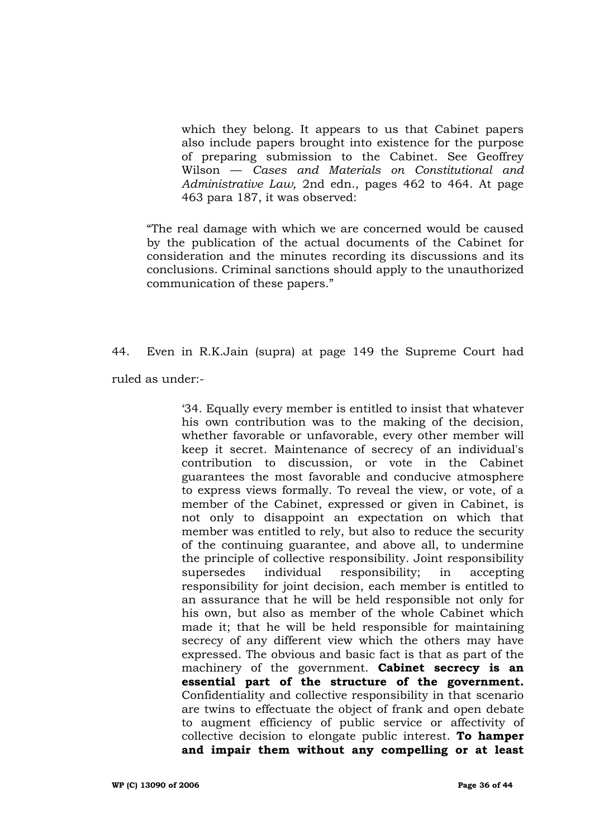which they belong. It appears to us that Cabinet papers also include papers brought into existence for the purpose of preparing submission to the Cabinet. See Geoffrey Wilson — *Cases and Materials on Constitutional and Administrative Law,* 2nd edn., pages 462 to 464. At page 463 para 187, it was observed:

"The real damage with which we are concerned would be caused by the publication of the actual documents of the Cabinet for consideration and the minutes recording its discussions and its conclusions. Criminal sanctions should apply to the unauthorized communication of these papers."

44. Even in R.K.Jain (supra) at page 149 the Supreme Court had ruled as under:-

> "34. Equally every member is entitled to insist that whatever his own contribution was to the making of the decision, whether favorable or unfavorable, every other member will keep it secret. Maintenance of secrecy of an individual's contribution to discussion, or vote in the Cabinet guarantees the most favorable and conducive atmosphere to express views formally. To reveal the view, or vote, of a member of the Cabinet, expressed or given in Cabinet, is not only to disappoint an expectation on which that member was entitled to rely, but also to reduce the security of the continuing guarantee, and above all, to undermine the principle of collective responsibility. Joint responsibility supersedes individual responsibility; in accepting responsibility for joint decision, each member is entitled to an assurance that he will be held responsible not only for his own, but also as member of the whole Cabinet which made it; that he will be held responsible for maintaining secrecy of any different view which the others may have expressed. The obvious and basic fact is that as part of the machinery of the government. **Cabinet secrecy is an essential part of the structure of the government.** Confidentiality and collective responsibility in that scenario are twins to effectuate the object of frank and open debate to augment efficiency of public service or affectivity of collective decision to elongate public interest. **To hamper and impair them without any compelling or at least**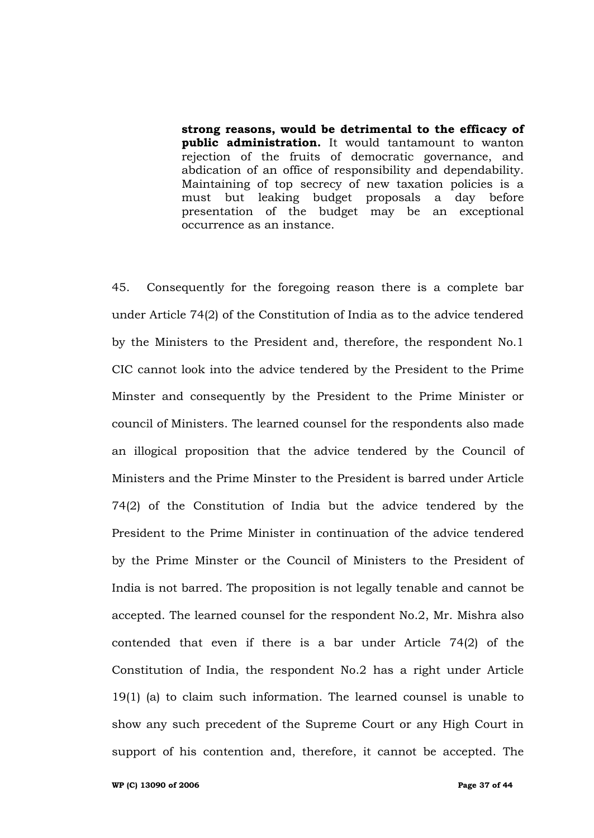**strong reasons, would be detrimental to the efficacy of public administration.** It would tantamount to wanton rejection of the fruits of democratic governance, and abdication of an office of responsibility and dependability. Maintaining of top secrecy of new taxation policies is a must but leaking budget proposals a day before presentation of the budget may be an exceptional occurrence as an instance.

45. Consequently for the foregoing reason there is a complete bar under Article 74(2) of the Constitution of India as to the advice tendered by the Ministers to the President and, therefore, the respondent No.1 CIC cannot look into the advice tendered by the President to the Prime Minster and consequently by the President to the Prime Minister or council of Ministers. The learned counsel for the respondents also made an illogical proposition that the advice tendered by the Council of Ministers and the Prime Minster to the President is barred under Article 74(2) of the Constitution of India but the advice tendered by the President to the Prime Minister in continuation of the advice tendered by the Prime Minster or the Council of Ministers to the President of India is not barred. The proposition is not legally tenable and cannot be accepted. The learned counsel for the respondent No.2, Mr. Mishra also contended that even if there is a bar under Article 74(2) of the Constitution of India, the respondent No.2 has a right under Article 19(1) (a) to claim such information. The learned counsel is unable to show any such precedent of the Supreme Court or any High Court in support of his contention and, therefore, it cannot be accepted. The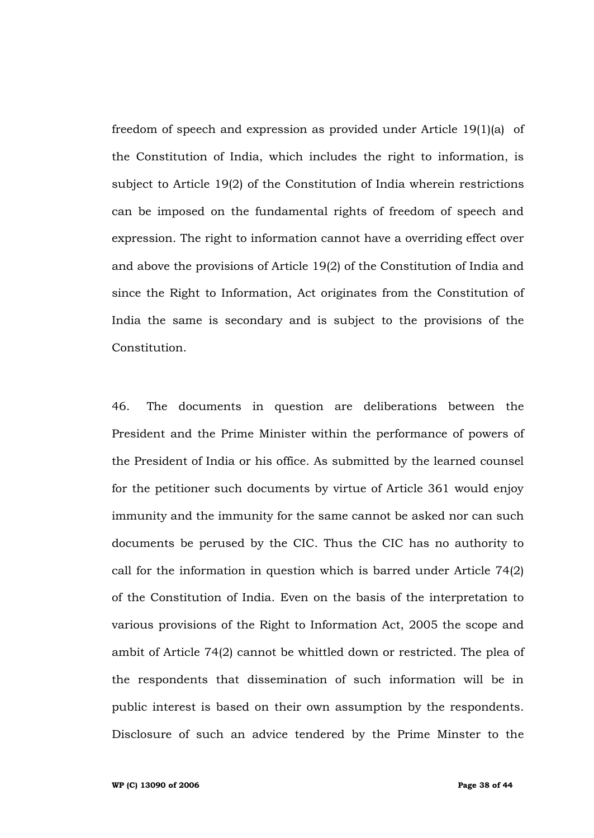freedom of speech and expression as provided under Article 19(1)(a) of the Constitution of India, which includes the right to information, is subject to Article 19(2) of the Constitution of India wherein restrictions can be imposed on the fundamental rights of freedom of speech and expression. The right to information cannot have a overriding effect over and above the provisions of Article 19(2) of the Constitution of India and since the Right to Information, Act originates from the Constitution of India the same is secondary and is subject to the provisions of the Constitution.

46. The documents in question are deliberations between the President and the Prime Minister within the performance of powers of the President of India or his office. As submitted by the learned counsel for the petitioner such documents by virtue of Article 361 would enjoy immunity and the immunity for the same cannot be asked nor can such documents be perused by the CIC. Thus the CIC has no authority to call for the information in question which is barred under Article 74(2) of the Constitution of India. Even on the basis of the interpretation to various provisions of the Right to Information Act, 2005 the scope and ambit of Article 74(2) cannot be whittled down or restricted. The plea of the respondents that dissemination of such information will be in public interest is based on their own assumption by the respondents. Disclosure of such an advice tendered by the Prime Minster to the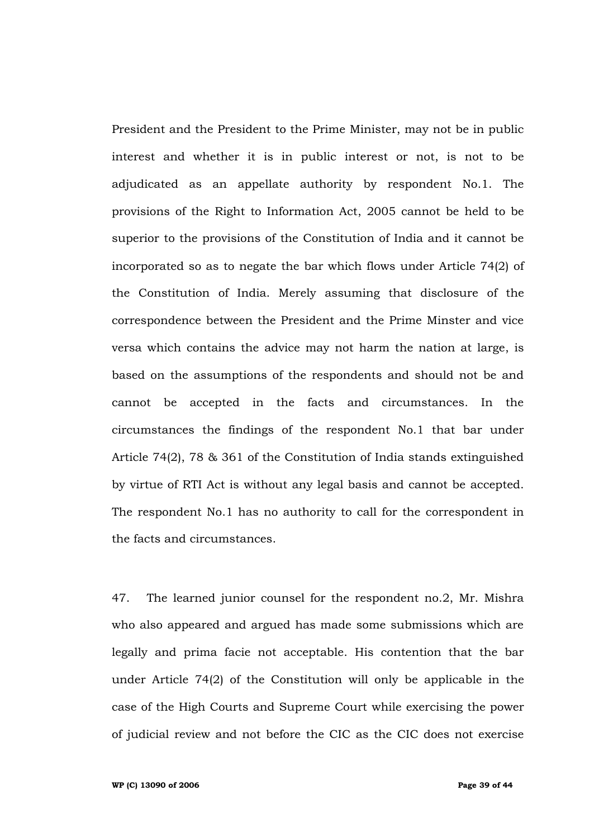President and the President to the Prime Minister, may not be in public interest and whether it is in public interest or not, is not to be adjudicated as an appellate authority by respondent No.1. The provisions of the Right to Information Act, 2005 cannot be held to be superior to the provisions of the Constitution of India and it cannot be incorporated so as to negate the bar which flows under Article 74(2) of the Constitution of India. Merely assuming that disclosure of the correspondence between the President and the Prime Minster and vice versa which contains the advice may not harm the nation at large, is based on the assumptions of the respondents and should not be and cannot be accepted in the facts and circumstances. In the circumstances the findings of the respondent No.1 that bar under Article 74(2), 78 & 361 of the Constitution of India stands extinguished by virtue of RTI Act is without any legal basis and cannot be accepted. The respondent No.1 has no authority to call for the correspondent in the facts and circumstances.

47. The learned junior counsel for the respondent no.2, Mr. Mishra who also appeared and argued has made some submissions which are legally and prima facie not acceptable. His contention that the bar under Article 74(2) of the Constitution will only be applicable in the case of the High Courts and Supreme Court while exercising the power of judicial review and not before the CIC as the CIC does not exercise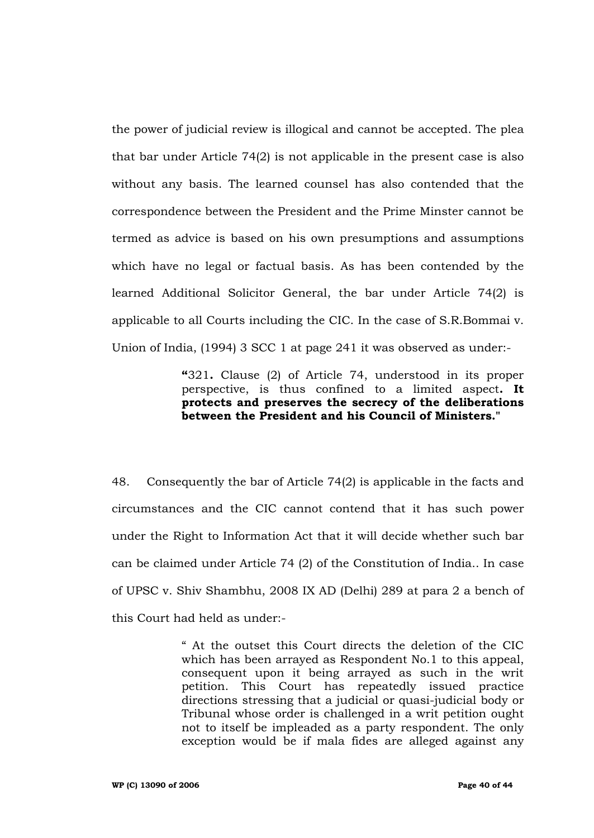the power of judicial review is illogical and cannot be accepted. The plea that bar under Article 74(2) is not applicable in the present case is also without any basis. The learned counsel has also contended that the correspondence between the President and the Prime Minster cannot be termed as advice is based on his own presumptions and assumptions which have no legal or factual basis. As has been contended by the learned Additional Solicitor General, the bar under Article 74(2) is applicable to all Courts including the CIC. In the case of S.R.Bommai v. Union of India, (1994) 3 SCC 1 at page 241 it was observed as under:-

> **"**321**.** Clause (2) of Article 74, understood in its proper perspective, is thus confined to a limited aspect**. It protects and preserves the secrecy of the deliberations between the President and his Council of Ministers."**

48. Consequently the bar of Article 74(2) is applicable in the facts and circumstances and the CIC cannot contend that it has such power under the Right to Information Act that it will decide whether such bar can be claimed under Article 74 (2) of the Constitution of India.. In case of UPSC v. Shiv Shambhu, 2008 IX AD (Delhi) 289 at para 2 a bench of this Court had held as under:-

> " At the outset this Court directs the deletion of the CIC which has been arrayed as Respondent No.1 to this appeal, consequent upon it being arrayed as such in the writ petition. This Court has repeatedly issued practice directions stressing that a judicial or quasi-judicial body or Tribunal whose order is challenged in a writ petition ought not to itself be impleaded as a party respondent. The only exception would be if mala fides are alleged against any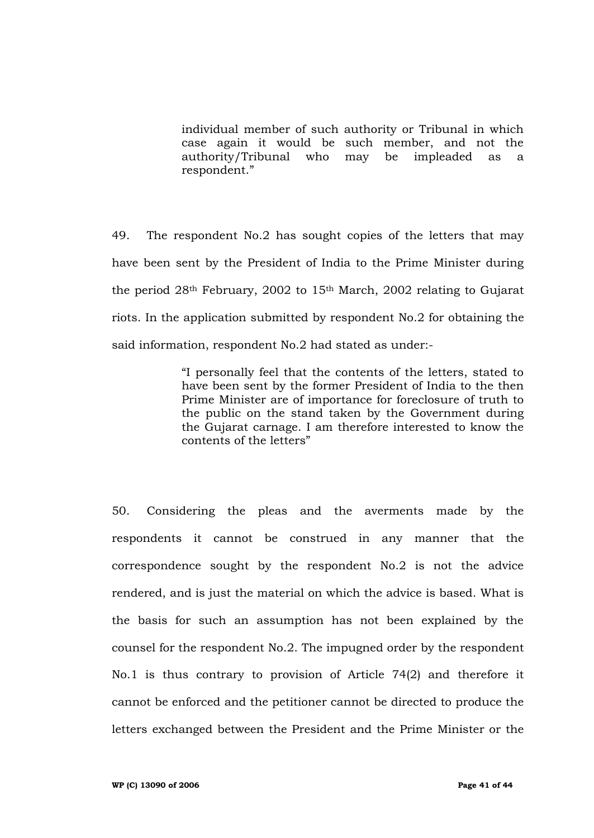individual member of such authority or Tribunal in which case again it would be such member, and not the authority/Tribunal who may be impleaded as a respondent."

49. The respondent No.2 has sought copies of the letters that may have been sent by the President of India to the Prime Minister during the period 28th February, 2002 to 15th March, 2002 relating to Gujarat riots. In the application submitted by respondent No.2 for obtaining the said information, respondent No.2 had stated as under:-

> "I personally feel that the contents of the letters, stated to have been sent by the former President of India to the then Prime Minister are of importance for foreclosure of truth to the public on the stand taken by the Government during the Gujarat carnage. I am therefore interested to know the contents of the letters"

50. Considering the pleas and the averments made by the respondents it cannot be construed in any manner that the correspondence sought by the respondent No.2 is not the advice rendered, and is just the material on which the advice is based. What is the basis for such an assumption has not been explained by the counsel for the respondent No.2. The impugned order by the respondent No.1 is thus contrary to provision of Article 74(2) and therefore it cannot be enforced and the petitioner cannot be directed to produce the letters exchanged between the President and the Prime Minister or the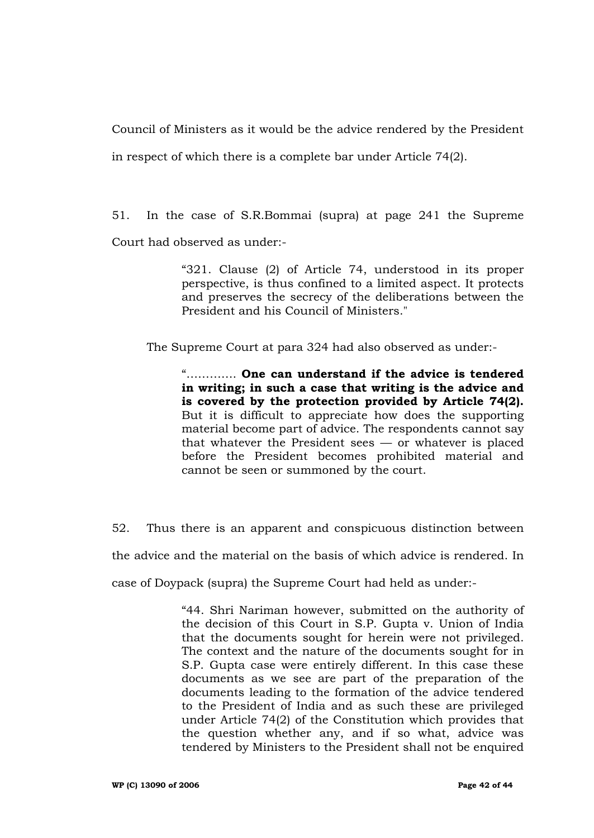Council of Ministers as it would be the advice rendered by the President

in respect of which there is a complete bar under Article 74(2).

51. In the case of S.R.Bommai (supra) at page 241 the Supreme

Court had observed as under:-

"321. Clause (2) of Article 74, understood in its proper perspective, is thus confined to a limited aspect. It protects and preserves the secrecy of the deliberations between the President and his Council of Ministers."

The Supreme Court at para 324 had also observed as under:-

"…………. **One can understand if the advice is tendered in writing; in such a case that writing is the advice and is covered by the protection provided by Article 74(2).** But it is difficult to appreciate how does the supporting material become part of advice. The respondents cannot say that whatever the President sees — or whatever is placed before the President becomes prohibited material and cannot be seen or summoned by the court.

52. Thus there is an apparent and conspicuous distinction between

the advice and the material on the basis of which advice is rendered. In

case of Doypack (supra) the Supreme Court had held as under:-

"44. Shri Nariman however, submitted on the authority of the decision of this Court in S.P. Gupta v. Union of India that the documents sought for herein were not privileged. The context and the nature of the documents sought for in S.P. Gupta case were entirely different. In this case these documents as we see are part of the preparation of the documents leading to the formation of the advice tendered to the President of India and as such these are privileged under Article 74(2) of the Constitution which provides that the question whether any, and if so what, advice was tendered by Ministers to the President shall not be enquired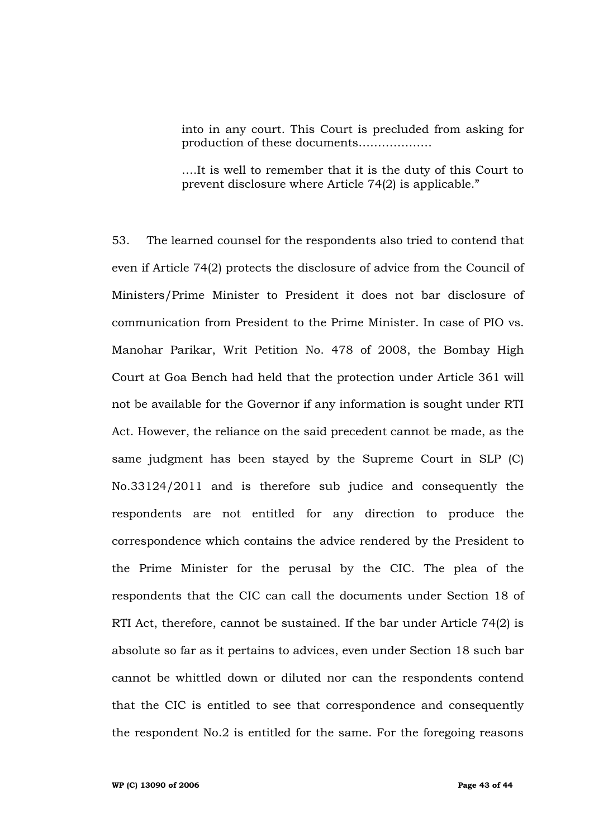into in any court. This Court is precluded from asking for production of these documents……………….

….It is well to remember that it is the duty of this Court to prevent disclosure where Article 74(2) is applicable."

53. The learned counsel for the respondents also tried to contend that even if Article 74(2) protects the disclosure of advice from the Council of Ministers/Prime Minister to President it does not bar disclosure of communication from President to the Prime Minister. In case of PIO vs. Manohar Parikar, Writ Petition No. 478 of 2008, the Bombay High Court at Goa Bench had held that the protection under Article 361 will not be available for the Governor if any information is sought under RTI Act. However, the reliance on the said precedent cannot be made, as the same judgment has been stayed by the Supreme Court in SLP (C) No.33124/2011 and is therefore sub judice and consequently the respondents are not entitled for any direction to produce the correspondence which contains the advice rendered by the President to the Prime Minister for the perusal by the CIC. The plea of the respondents that the CIC can call the documents under Section 18 of RTI Act, therefore, cannot be sustained. If the bar under Article 74(2) is absolute so far as it pertains to advices, even under Section 18 such bar cannot be whittled down or diluted nor can the respondents contend that the CIC is entitled to see that correspondence and consequently the respondent No.2 is entitled for the same. For the foregoing reasons